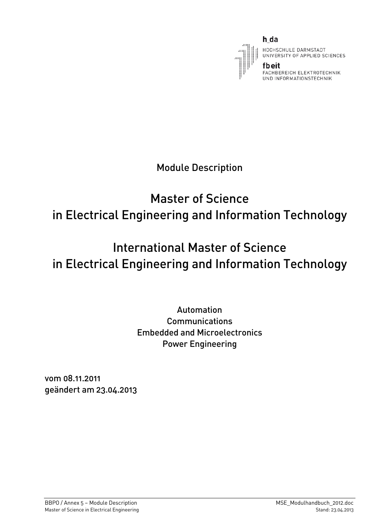

h da

HOCHSCHULE DARMSTADT UNIVERSITY OF APPLIED SCIENCES

FACHBEREICH ELEKTROTECHNIK UND INFORMATIONSTECHNIK

Module Description

# Master of Science in Electrical Engineering and Information Technology

# International Master of Science in Electrical Engineering and Information Technology

# Automation Communications Embedded and Microelectronics Power Engineering

vom 08.11.2011 geändert am 23.04.2013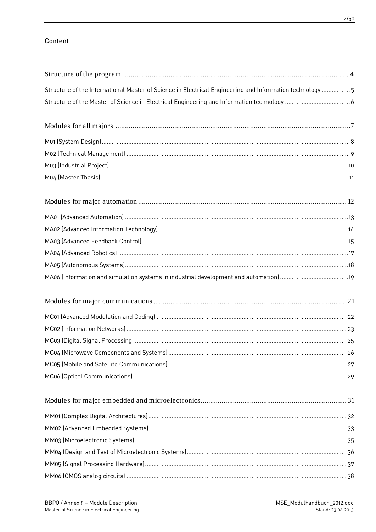# Content

| 5  5 Structure of the International Master of Science in Electrical Engineering and Information technology |  |
|------------------------------------------------------------------------------------------------------------|--|
|                                                                                                            |  |
|                                                                                                            |  |
|                                                                                                            |  |
|                                                                                                            |  |
|                                                                                                            |  |
|                                                                                                            |  |
|                                                                                                            |  |
|                                                                                                            |  |
|                                                                                                            |  |
|                                                                                                            |  |
|                                                                                                            |  |
|                                                                                                            |  |
|                                                                                                            |  |
|                                                                                                            |  |
|                                                                                                            |  |
|                                                                                                            |  |
|                                                                                                            |  |
|                                                                                                            |  |
|                                                                                                            |  |
|                                                                                                            |  |
|                                                                                                            |  |
|                                                                                                            |  |
|                                                                                                            |  |
|                                                                                                            |  |
|                                                                                                            |  |
|                                                                                                            |  |
|                                                                                                            |  |
|                                                                                                            |  |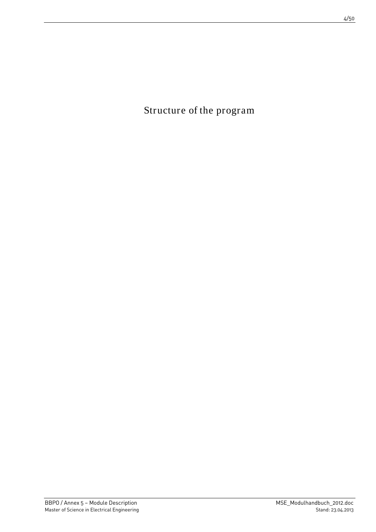<span id="page-3-0"></span>Structure of the program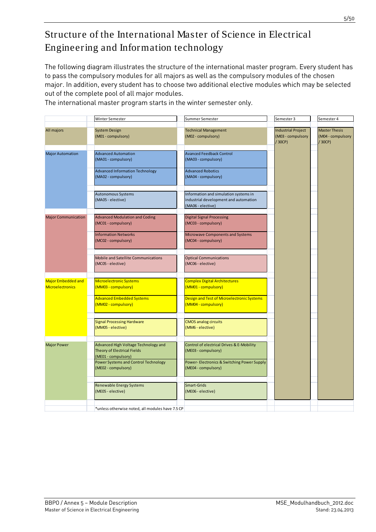# <span id="page-4-0"></span>Structure of the International Master of Science in Electrical Engineering and Information technology

The following diagram illustrates the structure of the international master program. Every student has to pass the compulsory modules for all majors as well as the compulsory modules of the chosen major. In addition, every student has to choose two additional elective modules which may be selected out of the complete pool of all major modules.

|                                               | Winter Semester                                                                                   | Summer Semester                                                                                     | Semester 3                                              | Semester 4                                         |
|-----------------------------------------------|---------------------------------------------------------------------------------------------------|-----------------------------------------------------------------------------------------------------|---------------------------------------------------------|----------------------------------------------------|
|                                               |                                                                                                   |                                                                                                     |                                                         |                                                    |
| All majors                                    | <b>System Design</b><br>(M01 - compulsory)                                                        | <b>Technical Management</b><br>(M02 - compulsory)                                                   | <b>Industrial Project</b><br>(M03 - compulsory<br>/30CP | <b>Master Thesis</b><br>(M04 - compulsory<br>/30CP |
| <b>Major Automation</b>                       | <b>Advanced Automation</b><br>(MA01 - compulsory)                                                 | <b>Avanced Feedback Control</b><br>(MA03 - compulsory)                                              |                                                         |                                                    |
|                                               | <b>Advanced Information Technology</b><br>(MA02 - compulsory)                                     | <b>Advanced Robotics</b><br>(MA04 - compulsory)                                                     |                                                         |                                                    |
|                                               | <b>Autonomous Systems</b><br>(MA05 - elective)                                                    | Information and simulation systems in<br>industrial development and automation<br>(MA06 - elective) |                                                         |                                                    |
| <b>Major Communication</b>                    | <b>Advanced Modulation and Coding</b><br>(MC01 - compulsory)                                      | <b>Digital Signal Processing</b><br>(MC03 - compulsory)                                             |                                                         |                                                    |
|                                               | <b>Information Networks</b><br>(MC02 - compulsory)                                                | Microwave Components and Systems<br>(MC04 - compulsory)                                             |                                                         |                                                    |
|                                               | Mobile and Satellite Communications<br>(MC05 - elective)                                          | <b>Optical Communications</b><br>(MC06 - elective)                                                  |                                                         |                                                    |
| Major Embedded and<br><b>Microelectronics</b> | Microelectronic Systems<br>(MM03 - compulsory)                                                    | <b>Complex Digital Architectures</b><br>(MM01 - compulsory)                                         |                                                         |                                                    |
|                                               | <b>Advanced Embedded Systems</b><br>(MM02 - compulsory)                                           | Design and Test of Microelectronic Systems<br>(MM04 - compulsory)                                   |                                                         |                                                    |
|                                               | <b>Signal Processing Hardware</b><br>(MM05 - elective)                                            | <b>CMOS analog circuits</b><br>(MM6 - elective)                                                     |                                                         |                                                    |
| <b>Major Power</b>                            | Advanced High Voltage Technology and<br><b>Theory of Electrical Fields</b><br>(ME01 - compulsory) | Control of electrical Drives & E-Mobility<br>(ME03 - compulsory)                                    |                                                         |                                                    |
|                                               | Power Systems and Control Technology<br>(ME02 - compulsory)                                       | Power- Electronics & Switching Power Supply<br>(ME04 - compulsory)                                  |                                                         |                                                    |
|                                               | <b>Renewable Energy Systems</b><br>(ME05 - elective)                                              | Smart-Grids<br>(ME06 - elective)                                                                    |                                                         |                                                    |
|                                               | *unless otherwise noted, all modules have 7.5 CP                                                  |                                                                                                     |                                                         |                                                    |

The international master program starts in the winter semester only.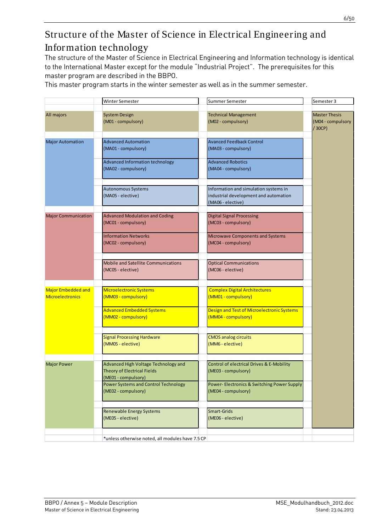# <span id="page-5-0"></span>Structure of the Master of Science in Electrical Engineering and Information technology

The structure of the Master of Science in Electrical Engineering and Information technology is identical to the International Master except for the module "Industrial Project". The prerequisites for this master program are described in the BBPO.

This master program starts in the winter semester as well as in the summer semester.

|                                                      | Winter Semester                                                                            | Summer Semester                                                                                     | Semester 3                                         |
|------------------------------------------------------|--------------------------------------------------------------------------------------------|-----------------------------------------------------------------------------------------------------|----------------------------------------------------|
|                                                      |                                                                                            |                                                                                                     |                                                    |
| All majors                                           | <b>System Design</b><br>(M01 - compulsory)                                                 | <b>Technical Management</b><br>(M02 - compulsory)                                                   | <b>Master Thesis</b><br>(M04 - compulsory<br>/30CP |
| <b>Major Automation</b>                              | <b>Advanced Automation</b><br>(MA01 - compulsory)                                          | <b>Avanced Feedback Control</b><br>(MA03 - compulsory)                                              |                                                    |
|                                                      | Advanced Information technology<br>(MA02 - compulsory)                                     | <b>Advanced Robotics</b><br>(MA04 - compulsory)                                                     |                                                    |
|                                                      | <b>Autonomous Systems</b><br>(MA05 - elective)                                             | Information and simulation systems in<br>industrial development and automation<br>(MA06 - elective) |                                                    |
| <b>Major Communication</b>                           | <b>Advanced Modulation and Coding</b><br>(MC01 - compulsory)                               | <b>Digital Signal Processing</b><br>(MC03 - compulsory)                                             |                                                    |
|                                                      | <b>Information Networks</b><br>(MC02 - compulsory)                                         | Microwave Components and Systems<br>(MC04 - compulsory)                                             |                                                    |
|                                                      | <b>Mobile and Satellite Communications</b><br>(MC05 - elective)                            | <b>Optical Communications</b><br>(MC06 - elective)                                                  |                                                    |
| <b>Major Embedded and</b><br><b>Microelectronics</b> | <b>Microelectronic Systems</b><br>(MM03 - compulsory)                                      | <b>Complex Digital Architectures</b><br>(MM01 - compulsory)                                         |                                                    |
|                                                      | <b>Advanced Embedded Systems</b><br>(MM02 - compulsory)                                    | Design and Test of Microelectronic Systems<br>(MM04 - compulsory)                                   |                                                    |
|                                                      | <b>Signal Processing Hardware</b><br>(MM05 - elective)                                     | <b>CMOS analog circuits</b><br>(MM6 - elective)                                                     |                                                    |
| <b>Major Power</b>                                   | Advanced High Voltage Technology and<br>Theory of Electrical Fields<br>(ME01 - compulsory) | Control of electrical Drives & E-Mobility<br>(ME03 - compulsory)                                    |                                                    |
|                                                      | Power Systems and Control Technology<br>(ME02 - compulsory)                                | Power- Electronics & Switching Power Supply<br>(ME04 - compulsory)                                  |                                                    |
|                                                      | <b>Renewable Energy Systems</b><br>(ME05 - elective)                                       | Smart-Grids<br>(ME06 - elective)                                                                    |                                                    |
|                                                      | *unless otherwise noted, all modules have 7.5 CP                                           |                                                                                                     |                                                    |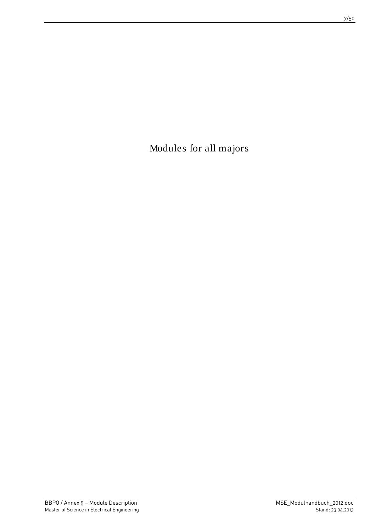<span id="page-6-0"></span>Modules for all majors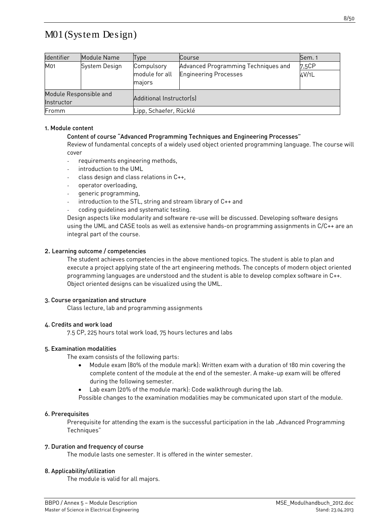# <span id="page-7-0"></span>M01 (System Design)

| Identifier                           | Module Name   | Type                                   | Course                                                              | Sem. 1         |  |
|--------------------------------------|---------------|----------------------------------------|---------------------------------------------------------------------|----------------|--|
| M01                                  | System Design | Compulsory<br>module for all<br>majors | Advanced Programming Techniques and<br><b>Engineering Processes</b> | 7,5CP<br>4V/1L |  |
| Module Responsible and<br>Instructor |               | Additional Instructor(s)               |                                                                     |                |  |
| Fromm                                |               | Lipp, Schaefer, Rücklé                 |                                                                     |                |  |

#### 1. Module content

# Content of course "Advanced Programming Techniques and Engineering Processes"

Review of fundamental concepts of a widely used object oriented programming language. The course will cover

- requirements engineering methods,
- introduction to the UML
- class design and class relations in C++,
- operator overloading,
- generic programming,
- introduction to the STL, string and stream library of C++ and
- coding quidelines and systematic testing.

Design aspects like modularity and software re-use will be discussed. Developing software designs using the UML and CASE tools as well as extensive hands-on programming assignments in C/C++ are an integral part of the course.

#### 2. Learning outcome / competencies

The student achieves competencies in the above mentioned topics. The student is able to plan and execute a project applying state of the art engineering methods. The concepts of modern object oriented programming languages are understood and the student is able to develop complex software in C++. Object oriented designs can be visualized using the UML.

#### 3. Course organization and structure

Class lecture, lab and programming assignments

#### 4. Credits and work load

7.5 CP, 225 hours total work load, 75 hours lectures and labs

#### 5. Examination modalities

The exam consists of the following parts:

- Module exam (80% of the module mark): Written exam with a duration of 180 min covering the complete content of the module at the end of the semester. A make-up exam will be offered during the following semester.
- Lab exam (20% of the module mark): Code walkthrough during the lab.
- Possible changes to the examination modalities may be communicated upon start of the module.

#### 6. Prerequisites

Prerequisite for attending the exam is the successful participation in the lab "Advanced Programming Techniques"

#### 7. Duration and frequency of course

The module lasts one semester. It is offered in the winter semester.

#### 8. Applicability/utilization

The module is valid for all majors.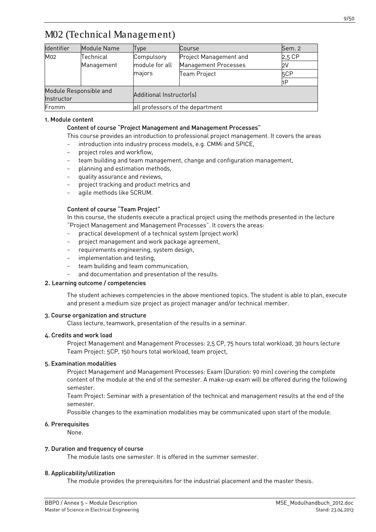# <span id="page-8-0"></span>M02 (Technical Management)

| <b>Identifier</b>      | Module Name | Type                             | Course                 | Sem. 2 |  |  |
|------------------------|-------------|----------------------------------|------------------------|--------|--|--|
| M02                    | Technical   | Compulsory                       | Project Management and | 2,5 CP |  |  |
|                        | Management  | module for all                   | Management Processes   | 2V     |  |  |
|                        |             | majors                           | Team Project           | 5CP    |  |  |
|                        |             |                                  |                        | 1P     |  |  |
| Module Responsible and |             |                                  |                        |        |  |  |
| Instructor             |             | Additional Instructor(s)         |                        |        |  |  |
| Fromm                  |             | all professors of the department |                        |        |  |  |

#### 1. Module content

#### Content of course "Project Management and Management Processes"

This course provides an introduction to professional project management. It covers the areas

- introduction into industry process models, e.g. CMMi and SPICE,
- project roles and workflow.
- team building and team management, change and configuration management,
- planning and estimation methods,
- quality assurance and reviews,
- project tracking and product metrics and
- agile methods like SCRUM.

# Content of course "Team Project"

In this course, the students execute a practical project using the methods presented in the lecture "Project Management and Management Processes". It covers the areas:

- practical development of a technical system (project work)
- project management and work package agreement,
- requirements engineering, system design,
- implementation and testing,
- team building and team communication,
- and documentation and presentation of the results.

#### 2. Learning outcome / competencies

The student achieves competencies in the above mentioned topics. The student is able to plan, execute and present a medium size project as project manager and/or technical member.

#### 3. Course organization and structure

Class lecture, teamwork, presentation of the results in a seminar.

#### 4. Credits and work load

Project Management and Management Processes: 2,5 CP, 75 hours total workload, 30 hours lecture Team Project: 5CP, 150 hours total workload, team project,

#### 5. Examination modalities

Project Management and Management Processes: Exam (Duration: 90 min) covering the complete content of the module at the end of the semester. A make-up exam will be offered during the following semester.

Team Project: Seminar with a presentation of the technical and management results at the end of the semester.

Possible changes to the examination modalities may be communicated upon start of the module.

#### 6. Prerequisites

None.

#### 7. Duration and frequency of course

The module lasts one semester. It is offered in the summer semester.

#### 8. Applicability/utilization

The module provides the prerequisites for the industrial placement and the master thesis.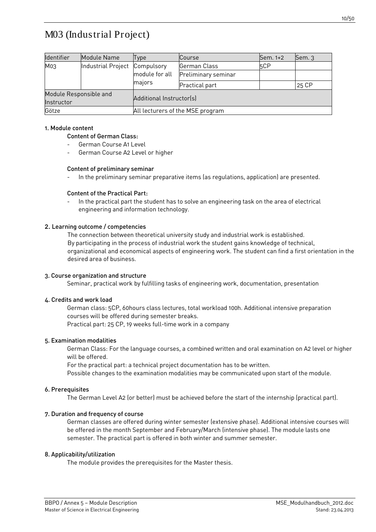<span id="page-9-0"></span>

| Identifier             | Module Name                   | Type                             | <b>Course</b>       | Sem. 1+2        | Sem. 3 |  |
|------------------------|-------------------------------|----------------------------------|---------------------|-----------------|--------|--|
| M <sub>0.3</sub>       | Industrial Project Compulsory |                                  | German Class        | 5 <sub>CP</sub> |        |  |
|                        |                               | module for all                   | Preliminary seminar |                 |        |  |
|                        | majors                        |                                  | Practical part      |                 | 25 CP  |  |
| Module Responsible and |                               | Additional Instructor(s)         |                     |                 |        |  |
| Instructor             |                               |                                  |                     |                 |        |  |
| Götze                  |                               | All lecturers of the MSE program |                     |                 |        |  |

### 1. Module content

# Content of German Class:

- German Course A1 Level
- German Course A2 Level or higher

#### Content of preliminary seminar

- In the preliminary seminar preparative items (as regulations, application) are presented.

#### Content of the Practical Part:

In the practical part the student has to solve an engineering task on the area of electrical engineering and information technology.

#### 2. Learning outcome / competencies

The connection between theoretical university study and industrial work is established. By participating in the process of industrial work the student gains knowledge of technical, organizational and economical aspects of engineering work. The student can find a first orientation in the desired area of business.

#### 3. Course organization and structure

Seminar, practical work by fulfilling tasks of engineering work, documentation, presentation

#### 4. Credits and work load

German class: 5CP, 60hours class lectures, total workload 100h. Additional intensive preparation courses will be offered during semester breaks. Practical part: 25 CP, 19 weeks full-time work in a company

#### 5. Examination modalities

German Class: For the language courses, a combined written and oral examination on A2 level or higher will be offered.

For the practical part: a technical project documentation has to be written.

Possible changes to the examination modalities may be communicated upon start of the module.

# 6. Prerequisites

The German Level A2 (or better) must be achieved before the start of the internship (practical part).

# 7. Duration and frequency of course

German classes are offered during winter semester (extensive phase). Additional intensive courses will be offered in the month September and February/March (intensive phase). The module lasts one semester. The practical part is offered in both winter and summer semester.

#### 8. Applicability/utilization

The module provides the prerequisites for the Master thesis.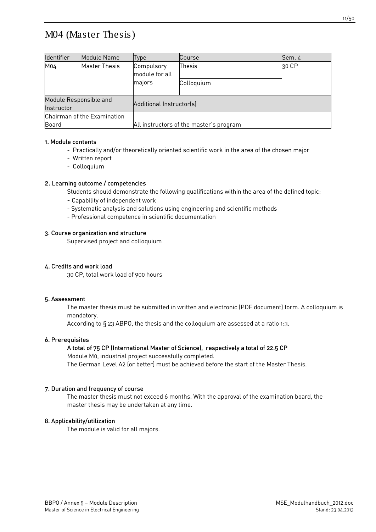# <span id="page-10-0"></span>M04 (Master Thesis)

| Identifier                           | Module Name          | Type                                    | Course     | Sem. 4 |  |
|--------------------------------------|----------------------|-----------------------------------------|------------|--------|--|
| M04                                  | <b>Master Thesis</b> | Compulsory<br>module for all            | Thesis     | 30 CP  |  |
|                                      |                      | majors                                  | Colloquium |        |  |
| Module Responsible and<br>Instructor |                      | Additional Instructor(s)                |            |        |  |
| Chairman of the Examination          |                      |                                         |            |        |  |
| Board                                |                      | All instructors of the master's program |            |        |  |

#### 1. Module contents

- Practically and/or theoretically oriented scientific work in the area of the chosen major
- Written report
- Colloquium

### 2. Learning outcome / competencies

Students should demonstrate the following qualifications within the area of the defined topic:

- Capability of independent work
- Systematic analysis and solutions using engineering and scientific methods
- Professional competence in scientific documentation

#### 3. Course organization and structure

Supervised project and colloquium

### 4. Credits and work load

30 CP, total work load of 900 hours

#### 5. Assessment

The master thesis must be submitted in written and electronic (PDF document) form. A colloquium is mandatory.

According to § 23 ABPO, the thesis and the colloquium are assessed at a ratio 1:3.

#### 6. Prerequisites

# A total of 75 CP (International Master of Science), respectively a total of 22.5 CP

Module M0, industrial project successfully completed.

The German Level A2 (or better) must be achieved before the start of the Master Thesis.

#### 7. Duration and frequency of course

The master thesis must not exceed 6 months. With the approval of the examination board, the master thesis may be undertaken at any time.

# 8. Applicability/utilization

The module is valid for all majors.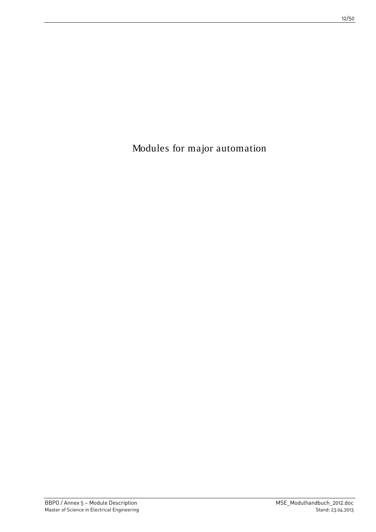<span id="page-11-0"></span>Modules for major automation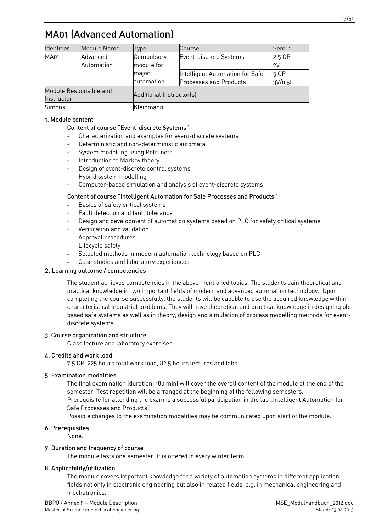# <span id="page-12-0"></span>MA01 (Advanced Automation)

| Identifier             | Module Name | Type                     | Course                          | Sem. 1  |
|------------------------|-------------|--------------------------|---------------------------------|---------|
| <b>MA01</b>            | Advanced    | Compulsory               | Event-discrete Systems          | 2,5 CP  |
|                        | Automation  | module for               |                                 | 2V      |
|                        |             | major                    | Intelligent Automation for Safe | 5 CP    |
|                        |             | automation               | <b>Processes and Products</b>   | 3V/0,5L |
| Module Responsible and |             |                          |                                 |         |
| Instructor             |             | Additional Instructor(s) |                                 |         |
| <b>Simons</b>          |             | Kleinmann                |                                 |         |

# 1. Module content

### Content of course "Event-discrete Systems"

- Characterization and examples for event-discrete systems
- Deterministic and non-deterministic automata
- System modelling using Petri nets
- Introduction to Markov theory
- Design of event-discrete control systems
- Hybrid system modelling
- Computer-based simulation and analysis of event-discrete systems

#### Content of course "Intelligent Automation for Safe Processes and Products"

- Basics of safety critical systems
- Fault detection and fault tolerance
- Design and development of automation systems based on PLC for safety critical systems
- Verification and validation
- Approval procedures
- Lifecycle safety
- Selected methods in modern automation technology based on PLC
- Case studies and laboratory experiences

# 2. Learning outcome / competencies

The student achieves competencies in the above mentioned topics. The students gain theoretical and practical knowledge in two important fields of modern and advanced automation technology. Upon completing the course successfully, the students will be capable to use the acquired knowledge within characteristical industrial problems. They will have theoretical and practical knowledge in designing plc based safe systems as well as in theory, design and simulation of process modelling methods for eventdiscrete systems.

# 3. Course organization and structure

Class lecture and laboratory exercises

#### 4. Credits and work load

7.5 CP, 225 hours total work load, 82.5 hours lectures and labs

#### 5. Examination modalities

The final examination (duration: 180 min) will cover the overall content of the module at the end of the semester. Test repetition will be arranged at the beginning of the following semesters.

Prerequisite for attending the exam is a successful participation in the lab "Intelligent Automation for Safe Processes and Products"

Possible changes to the examination modalities may be communicated upon start of the module.

#### 6. Prerequisites

None.

#### 7. Duration and frequency of course

The module lasts one semester. It is offered in every winter term.

#### 8. Applicability/utilization

The module covers important knowledge for a variety of automation systems in different application fields not only in electronic engineering but also in related fields, e.g. in mechanical engineering and mechatronics.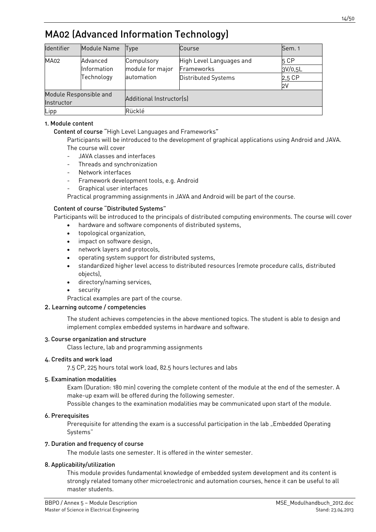# <span id="page-13-0"></span>MA02 (Advanced Information Technology)

| Identifier             | Module Name | <b>Type</b>              | Course                   | Sem. 1  |  |  |
|------------------------|-------------|--------------------------|--------------------------|---------|--|--|
| <b>MA02</b>            | Advanced    | Compulsory               | High Level Languages and | 5 CP    |  |  |
|                        | Information | module for major         | Frameworks               | 3V/0,5L |  |  |
|                        | Technology  | automation               | Distributed Systems      | 2,5 CP  |  |  |
|                        |             |                          |                          | 2V      |  |  |
| Module Responsible and |             | Additional Instructor(s) |                          |         |  |  |
| Instructor             |             |                          |                          |         |  |  |
| Lipp                   |             | Rücklé                   |                          |         |  |  |

# 1. Module content

Content of course "High Level Languages and Frameworks"

Participants will be introduced to the development of graphical applications using Android and JAVA. The course will cover

- JAVA classes and interfaces
- Threads and synchronization
- Network interfaces
- Framework development tools, e.g. Android
- Graphical user interfaces

Practical programming assignments in JAVA and Android will be part of the course.

#### Content of course "Distributed Systems"

Participants will be introduced to the principals of distributed computing environments. The course will cover

- hardware and software components of distributed systems,
- topological organization,
- impact on software design,
- network layers and protocols,
- operating system support for distributed systems,
- standardized higher level access to distributed resources (remote procedure calls, distributed objects),
- directory/naming services,
- security
- Practical examples are part of the course.

### 2. Learning outcome / competencies

The student achieves competencies in the above mentioned topics. The student is able to design and implement complex embedded systems in hardware and software.

#### 3. Course organization and structure

Class lecture, lab and programming assignments

#### 4. Credits and work load

7.5 CP, 225 hours total work load, 82.5 hours lectures and labs

#### 5. Examination modalities

Exam (Duration: 180 min) covering the complete content of the module at the end of the semester. A make-up exam will be offered during the following semester.

Possible changes to the examination modalities may be communicated upon start of the module.

#### 6. Prerequisites

Prerequisite for attending the exam is a successful participation in the lab "Embedded Operating Systems"

# 7. Duration and frequency of course

The module lasts one semester. It is offered in the winter semester.

# 8. Applicability/utilization

This module provides fundamental knowledge of embedded system development and its content is strongly related tomany other microelectronic and automation courses, hence it can be useful to all master students.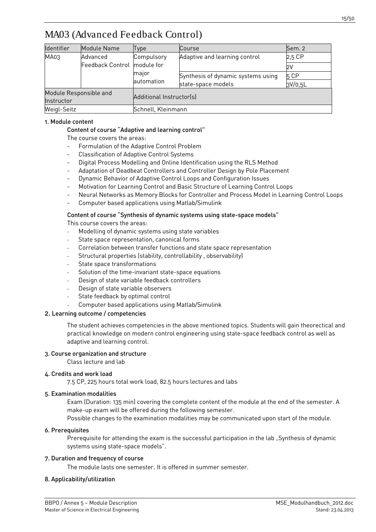# <span id="page-14-0"></span>MA03 (Advanced Feedback Control)

| Identifier             | Module Name      | Type                               | Course                        | Sem. 2  |  |  |
|------------------------|------------------|------------------------------------|-------------------------------|---------|--|--|
| MA03                   | Advanced         | Compulsory                         | Adaptive and learning control | 2,5 CP  |  |  |
|                        | Feedback Control | module for                         |                               | 2V      |  |  |
|                        | major            | Synthesis of dynamic systems using | 5 CP                          |         |  |  |
|                        |                  | automation<br>state-space models   |                               | 3V/0,5L |  |  |
| Module Responsible and |                  |                                    |                               |         |  |  |
| Instructor             |                  | Additional Instructor(s)           |                               |         |  |  |
| Weigl-Seitz            |                  | Schnell, Kleinmann                 |                               |         |  |  |

### 1. Module content

### Content of course "Adaptive and learning control"

The course covers the areas:

- Formulation of the Adaptive Control Problem
- Classification of Adaptive Control Systems
- Digital Process Modelling and Online Identification using the RLS Method
- Adaptation of Deadbeat Controllers and Controller Design by Pole Placement
- Dynamic Behavior of Adaptive Control Loops and Configuration Issues
- Motivation for Learning Control and Basic Structure of Learning Control Loops
- Neural Networks as Memory Blocks for Controller and Process Model in Learning Control Loops
- Computer based applications using Matlab/Simulink

#### Content of course "Synthesis of dynamic systems using state-space models"

This course covers the areas:

- Modelling of dynamic systems using state variables
- State space representation, canonical forms
- Correlation between transfer functions and state space representation
- Structural properties (stability, controllability, observability)
- State space transformations
- Solution of the time-invariant state-space equations
- Design of state variable feedback controllers
- Design of state variable observers
- State feedback by optimal control
- Computer based applications using Matlab/Simulink

#### 2. Learning outcome / competencies

The student achieves competencies in the above mentioned topics. Students will gain theorectical and practical knowledge on modern control engineering using state-space feedback control as well as adaptive and learning control.

#### 3. Course organization and structure

Class lecture and lab

#### 4. Credits and work load

7.5 CP, 225 hours total work load, 82.5 hours lectures and labs

#### 5. Examination modalities

Exam (Duration: 135 min) covering the complete content of the module at the end of the semester. A make-up exam will be offered during the following semester.

Possible changes to the examination modalities may be communicated upon start of the module.

#### 6. Prerequisites

Prerequisite for attending the exam is the successful participation in the lab "Synthesis of dynamic systems using state-space models".

#### 7. Duration and frequency of course

The module lasts one semester. It is offered in summer semester.

# 8. Applicability/utilization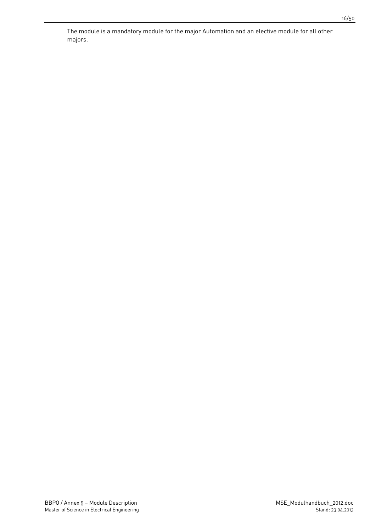The module is a mandatory module for the major Automation and an elective module for all other majors.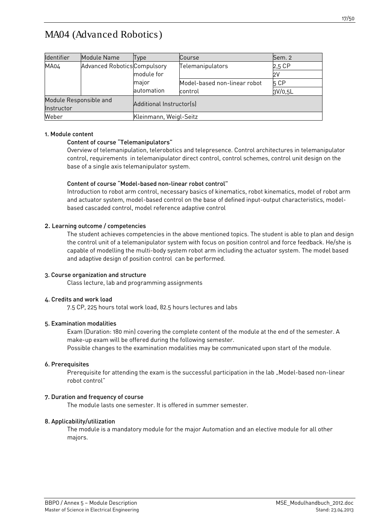# <span id="page-16-0"></span>MA04 (Advanced Robotics)

| Identifier                           | Module Name                         | <b>Type</b>              | Course                       | Sem. 2  |  |  |
|--------------------------------------|-------------------------------------|--------------------------|------------------------------|---------|--|--|
| MA04                                 | <b>Advanced Robotics Compulsory</b> |                          | Telemanipulators             | 2,5 CP  |  |  |
|                                      |                                     | module for               |                              | 2V      |  |  |
|                                      |                                     | major                    | Model-based non-linear robot | 5 CP    |  |  |
|                                      |                                     | automation               | control                      | 3V/0,5L |  |  |
| Module Responsible and<br>Instructor |                                     | Additional Instructor(s) |                              |         |  |  |
| Weber                                |                                     | Kleinmann, Weigl-Seitz   |                              |         |  |  |

#### 1. Module content

#### Content of course "Telemanipulators"

Overview of telemanipulation, telerobotics and telepresence. Control architectures in telemanipulator control, requirements in telemanipulator direct control, control schemes, control unit design on the base of a single axis telemanipulator system.

#### Content of course "Model-based non-linear robot control"

Introduction to robot arm control, necessary basics of kinematics, robot kinematics, model of robot arm and actuator system, model-based control on the base of defined input-output characteristics, modelbased cascaded control, model reference adaptive control

#### 2. Learning outcome / competencies

The student achieves competencies in the above mentioned topics. The student is able to plan and design the control unit of a telemanipulator system with focus on position control and force feedback. He/she is capable of modelling the multi-body system robot arm including the actuator system. The model based and adaptive design of position control can be performed.

# 3. Course organization and structure

Class lecture, lab and programming assignments

#### 4. Credits and work load

7.5 CP, 225 hours total work load, 82.5 hours lectures and labs

#### 5. Examination modalities

Exam (Duration: 180 min) covering the complete content of the module at the end of the semester. A make-up exam will be offered during the following semester. Possible changes to the examination modalities may be communicated upon start of the module.

#### 6. Prerequisites

Prerequisite for attending the exam is the successful participation in the lab "Model-based non-linear robot control"

#### 7. Duration and frequency of course

The module lasts one semester. It is offered in summer semester.

#### 8. Applicability/utilization

The module is a mandatory module for the major Automation and an elective module for all other majors.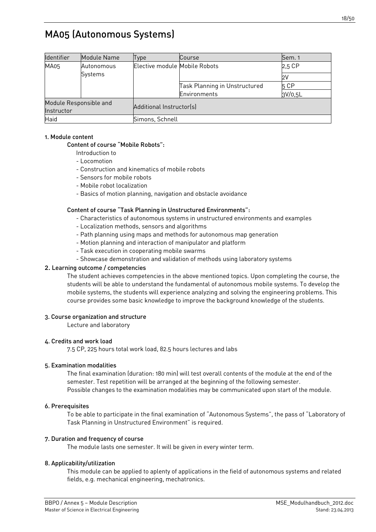# <span id="page-17-0"></span>MA05 (Autonomous Systems)

| Identifier             | Module Name | Type                          | Course                        | Sem. 1      |  |
|------------------------|-------------|-------------------------------|-------------------------------|-------------|--|
| MA05                   | Autonomous  | Elective module Mobile Robots |                               | 2,5 CP      |  |
|                        | Systems     |                               |                               | $2\sqrt{ }$ |  |
|                        |             |                               | Task Planning in Unstructured | 5 CP        |  |
|                        |             |                               | Environments                  | 3V/0,5L     |  |
| Module Responsible and |             | Additional Instructor(s)      |                               |             |  |
| Instructor             |             |                               |                               |             |  |
| Haid                   |             | Simons, Schnell               |                               |             |  |

#### 1. Module content

# Content of course "Mobile Robots":

- Introduction to
- Locomotion
- Construction and kinematics of mobile robots
- Sensors for mobile robots
- Mobile robot localization
- Basics of motion planning, navigation and obstacle avoidance

#### Content of course "Task Planning in Unstructured Environments":

- Characteristics of autonomous systems in unstructured environments and examples
- Localization methods, sensors and algorithms
- Path planning using maps and methods for autonomous map generation
- Motion planning and interaction of manipulator and platform
- Task execution in cooperating mobile swarms
- Showcase demonstration and validation of methods using laboratory systems

### 2. Learning outcome / competencies

The student achieves competencies in the above mentioned topics. Upon completing the course, the students will be able to understand the fundamental of autonomous mobile systems. To develop the mobile systems, the students will experience analyzing and solving the engineering problems. This course provides some basic knowledge to improve the background knowledge of the students.

#### 3. Course organization and structure

Lecture and laboratory

#### 4. Credits and work load

7.5 CP, 225 hours total work load, 82.5 hours lectures and labs

#### 5. Examination modalities

The final examination (duration: 180 min) will test overall contents of the module at the end of the semester. Test repetition will be arranged at the beginning of the following semester. Possible changes to the examination modalities may be communicated upon start of the module.

#### 6. Prerequisites

To be able to participate in the final examination of "Autonomous Systems", the pass of "Laboratory of Task Planning in Unstructured Environment" is required.

#### 7. Duration and frequency of course

The module lasts one semester. It will be given in every winter term.

#### 8. Applicability/utilization

This module can be applied to aplenty of applications in the field of autonomous systems and related fields, e.g. mechanical engineering, mechatronics.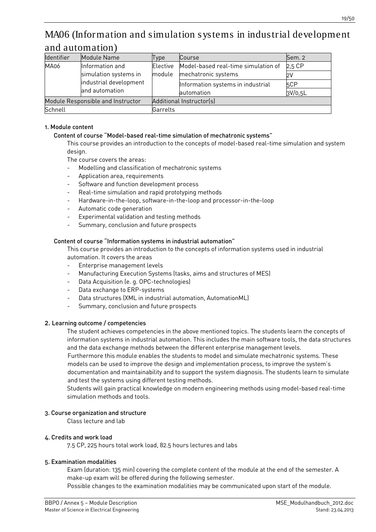# <span id="page-18-0"></span>MA06 (Information and simulation systems in industrial development and automation)

| <b>Identifier</b> | Module Name                       | Type            | Course                              | Sem. 2  |  |
|-------------------|-----------------------------------|-----------------|-------------------------------------|---------|--|
| MA06              | Information and                   | <b>Elective</b> | Model-based real-time simulation of | 2,5 CP  |  |
|                   | simulation systems in             | module          | mechatronic systems                 | 2V      |  |
|                   | industrial development            |                 | Information systems in industrial   | 5CP     |  |
|                   | and automation                    |                 | automation                          | 3V/0,5L |  |
|                   | Module Responsible and Instructor |                 | Additional Instructor(s)            |         |  |
| Schnell           |                                   | Garrelts        |                                     |         |  |

### 1. Module content

### Content of course "Model-based real-time simulation of mechatronic systems"

This course provides an introduction to the concepts of model-based real-time simulation and system design.

The course covers the areas:

- Modelling and classification of mechatronic systems
- Application area, requirements
- Software and function development process
- Real-time simulation and rapid prototyping methods
- Hardware-in-the-loop, software-in-the-loop and processor-in-the-loop
- Automatic code generation
- Experimental validation and testing methods
- Summary, conclusion and future prospects

#### Content of course "Information systems in industrial automation"

This course provides an introduction to the concepts of information systems used in industrial automation. It covers the areas

- Enterprise management levels
- Manufacturing Execution Systems (tasks, aims and structures of MES)
- Data Acquisition (e. g. OPC-technologies)
- Data exchange to ERP-systems
- Data structures (XML in industrial automation, AutomationML)
- Summary, conclusion and future prospects

#### 2. Learning outcome / competencies

The student achieves competencies in the above mentioned topics. The students learn the concepts of information systems in industrial automation. This includes the main software tools, the data structures and the data exchange methods between the different enterprise management levels.

Furthermore this module enables the students to model and simulate mechatronic systems. These models can be used to improve the design and implementation process, to improve the system's documentation and maintainability and to support the system diagnosis. The students learn to simulate and test the systems using different testing methods.

Students will gain practical knowledge on modern engineering methods using model-based real-time simulation methods and tools.

#### 3. Course organization and structure

Class lecture and lab

#### 4. Credits and work load

7.5 CP, 225 hours total work load, 82.5 hours lectures and labs

#### 5. Examination modalities

Exam (duration: 135 min) covering the complete content of the module at the end of the semester. A make-up exam will be offered during the following semester.

Possible changes to the examination modalities may be communicated upon start of the module.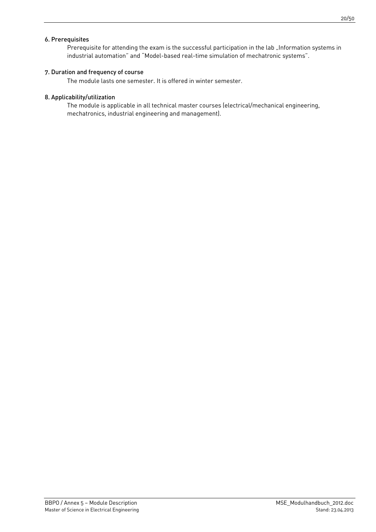### 6. Prerequisites

Prerequisite for attending the exam is the successful participation in the lab "Information systems in industrial automation" and "Model-based real-time simulation of mechatronic systems".

#### 7. Duration and frequency of course

The module lasts one semester. It is offered in winter semester.

#### 8. Applicability/utilization

The module is applicable in all technical master courses (electrical/mechanical engineering, mechatronics, industrial engineering and management).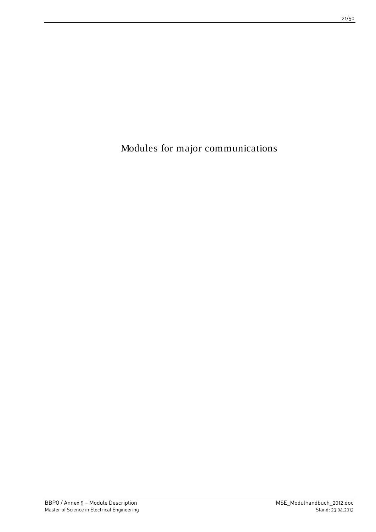<span id="page-20-0"></span>Modules for major communications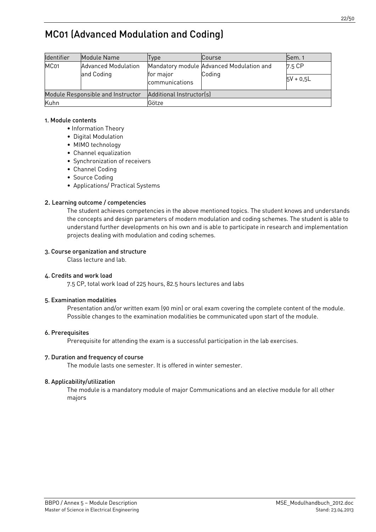# <span id="page-21-0"></span>MC01 (Advanced Modulation and Coding)

| Identifier                        | Module Name                | Type                        | Course                                             | Sem. 1      |  |
|-----------------------------------|----------------------------|-----------------------------|----------------------------------------------------|-------------|--|
| MC <sub>01</sub>                  | <b>Advanced Modulation</b> |                             | Mandatory module Advanced Modulation and<br>Coding | 7.5 CP      |  |
|                                   | and Coding                 | for major<br>communications |                                                    | $5V + 0.5L$ |  |
| Module Responsible and Instructor |                            | Additional Instructor(s)    |                                                    |             |  |
| Kuhn                              |                            | Götze                       |                                                    |             |  |

#### 1. Module contents

- Information Theory
- Digital Modulation
- MIMO technology
- Channel equalization
- Synchronization of receivers
- Channel Coding
- Source Coding
- Applications/ Practical Systems

# 2. Learning outcome / competencies

The student achieves competencies in the above mentioned topics. The student knows and understands the concepts and design parameters of modern modulation and coding schemes. The student is able to understand further developments on his own and is able to participate in research and implementation projects dealing with modulation and coding schemes.

# 3. Course organization and structure

Class lecture and lab.

# 4. Credits and work load

7.5 CP, total work load of 225 hours, 82.5 hours lectures and labs

# 5. Examination modalities

Presentation and/or written exam (90 min) or oral exam covering the complete content of the module. Possible changes to the examination modalities be communicated upon start of the module.

# 6. Prerequisites

Prerequisite for attending the exam is a successful participation in the lab exercises.

# 7. Duration and frequency of course

The module lasts one semester. It is offered in winter semester.

# 8. Applicability/utilization

The module is a mandatory module of major Communications and an elective module for all other majors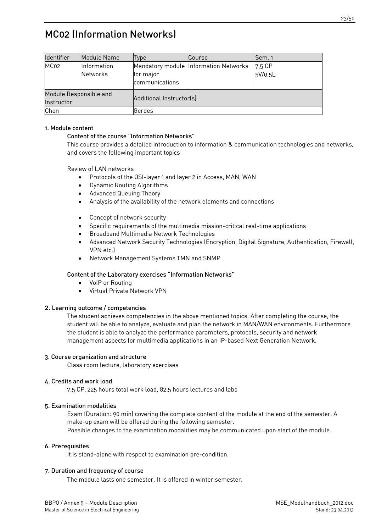# <span id="page-22-0"></span>MC02 (Information Networks)

| <b>Identifier</b>                    | Module Name                    | Type                        | Course                                | Sem. 1            |  |
|--------------------------------------|--------------------------------|-----------------------------|---------------------------------------|-------------------|--|
| MC <sub>02</sub>                     | Information<br><b>Networks</b> | for major<br>communications | Mandatory module Information Networks | 7,5 CP<br>5V/0,5L |  |
| Module Responsible and<br>Instructor |                                | Additional Instructor(s)    |                                       |                   |  |
| Chen                                 |                                | Gerdes                      |                                       |                   |  |

### 1. Module content

#### Content of the course "Information Networks"

This course provides a detailed introduction to information & communication technologies and networks, and covers the following important topics

Review of LAN networks

- Protocols of the OSI-layer 1 and layer 2 in Access, MAN, WAN
- Dynamic Routing Algorithms
- Advanced Queuing Theory
- Analysis of the availability of the network elements and connections
- Concept of network security
- Specific requirements of the multimedia mission-critical real-time applications
- Broadband Multimedia Network Technologies
- Advanced Network Security Technologies (Encryption, Digital Signature, Authentication, Firewall, VPN etc.)
- Network Management Systems TMN and SNMP

#### Content of the Laboratory exercises "Information Networks"

- VoIP or Routing
- Virtual Private Network VPN

#### 2. Learning outcome / competencies

The student achieves competencies in the above mentioned topics. After completing the course, the student will be able to analyze, evaluate and plan the network in MAN/WAN environments. Furthermore the student is able to analyze the performance parameters, protocols, security and network management aspects for multimedia applications in an IP-based Next Generation Network.

#### 3. Course organization and structure

Class room lecture, laboratory exercises

#### 4. Credits and work load

7.5 CP, 225 hours total work load, 82.5 hours lectures and labs

#### 5. Examination modalities

Exam (Duration: 90 min) covering the complete content of the module at the end of the semester. A make-up exam will be offered during the following semester.

Possible changes to the examination modalities may be communicated upon start of the module.

#### 6. Prerequisites

It is stand-alone with respect to examination pre-condition.

#### 7. Duration and frequency of course

The module lasts one semester. It is offered in winter semester.

23/50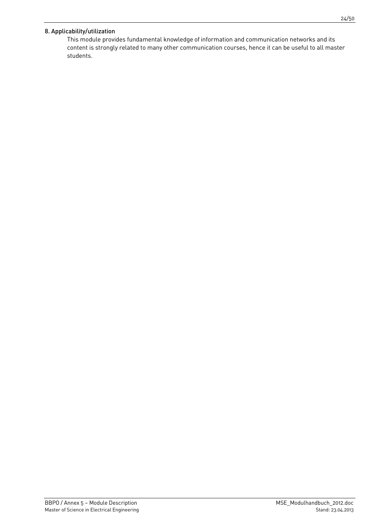# 8. Applicability/utilization

This module provides fundamental knowledge of information and communication networks and its content is strongly related to many other communication courses, hence it can be useful to all master students.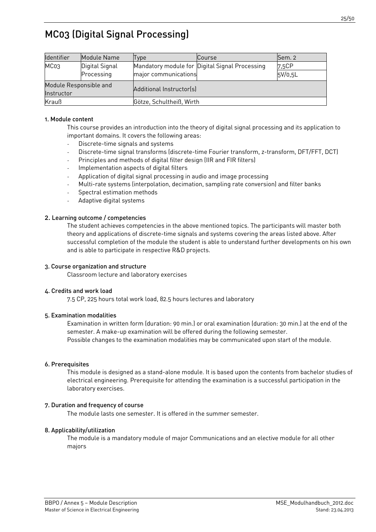# <span id="page-24-0"></span>MC03 (Digital Signal Processing)

| Identifier                           | Module Name    | Type                     | Course                                         | Sem. 2  |  |
|--------------------------------------|----------------|--------------------------|------------------------------------------------|---------|--|
| MC <sub>03</sub>                     | Digital Signal |                          | Mandatory module for Digital Signal Processing | 7,5CP   |  |
|                                      | Processing     | major communications     |                                                | 5V/0,5L |  |
| Module Responsible and<br>Instructor |                | Additional Instructor(s) |                                                |         |  |
| Krauß                                |                | Götze, Schultheiß, Wirth |                                                |         |  |

#### 1. Module content

This course provides an introduction into the theory of digital signal processing and its application to important domains. It covers the following areas:

- Discrete-time signals and systems
- Discrete-time signal transforms (discrete-time Fourier transform, z-transform, DFT/FFT, DCT)
- Principles and methods of digital filter design (IIR and FIR filters)
- Implementation aspects of digital filters
- Application of digital signal processing in audio and image processing
- Multi-rate systems (interpolation, decimation, sampling rate conversion) and filter banks
- Spectral estimation methods
- Adaptive digital systems

#### 2. Learning outcome / competencies

The student achieves competencies in the above mentioned topics. The participants will master both theory and applications of discrete-time signals and systems covering the areas listed above. After successful completion of the module the student is able to understand further developments on his own and is able to participate in respective R&D projects.

#### 3. Course organization and structure

Classroom lecture and laboratory exercises

#### 4. Credits and work load

7.5 CP, 225 hours total work load, 82.5 hours lectures and laboratory

#### 5. Examination modalities

Examination in written form (duration: 90 min.) or oral examination (duration: 30 min.) at the end of the semester. A make-up examination will be offered during the following semester. Possible changes to the examination modalities may be communicated upon start of the module.

#### 6. Prerequisites

This module is designed as a stand-alone module. It is based upon the contents from bachelor studies of electrical engineering. Prerequisite for attending the examination is a successful participation in the laboratory exercises.

#### 7. Duration and frequency of course

The module lasts one semester. It is offered in the summer semester.

#### 8. Applicability/utilization

The module is a mandatory module of major Communications and an elective module for all other majors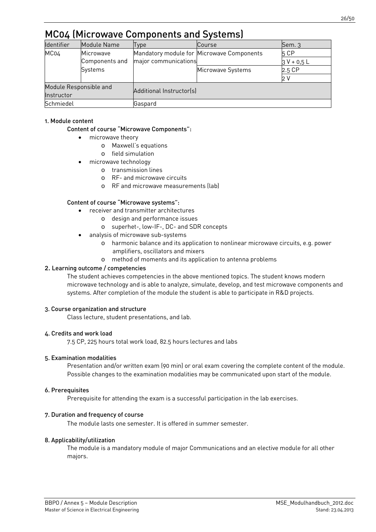<span id="page-25-0"></span>

| Identifier                             | Module Name            | Type                 | Course                                    | $Sem.$ 3      |
|----------------------------------------|------------------------|----------------------|-------------------------------------------|---------------|
| MC04                                   | Microwave              |                      | Mandatory module for Microwave Components | 5 CP          |
|                                        | Components and         | major communications |                                           | $3 V + 0.5 L$ |
|                                        | Systems                |                      | Microwave Systems                         | 2.5 CP        |
|                                        |                        |                      |                                           |               |
|                                        | Module Responsible and |                      |                                           |               |
| Additional Instructor(s)<br>Instructor |                        |                      |                                           |               |
| Schmiedel                              |                        | Gaspard              |                                           |               |

# 1. Module content

# Content of course "Microwave Components":

- microwave theory
	- o Maxwell's equations
	- o field simulation
- microwave technology
	- o transmission lines
	- o RF- and microwave circuits
	- o RF and microwave measurements (lab)

#### Content of course "Microwave systems":

- receiver and transmitter architectures
	- o design and performance issues
	- o superhet-, low-IF-, DC- and SDR concepts
- analysis of microwave sub-systems
	- o harmonic balance and its application to nonlinear microwave circuits, e.g. power amplifiers, oscillators and mixers
	- o method of moments and its application to antenna problems

### 2. Learning outcome / competencies

The student achieves competencies in the above mentioned topics. The student knows modern microwave technology and is able to analyze, simulate, develop, and test microwave components and systems. After completion of the module the student is able to participate in R&D projects.

#### 3. Course organization and structure

Class lecture, student presentations, and lab.

#### 4. Credits and work load

7.5 CP, 225 hours total work load, 82.5 hours lectures and labs

#### 5. Examination modalities

Presentation and/or written exam (90 min) or oral exam covering the complete content of the module. Possible changes to the examination modalities may be communicated upon start of the module.

#### 6. Prerequisites

Prerequisite for attending the exam is a successful participation in the lab exercises.

# 7. Duration and frequency of course

The module lasts one semester. It is offered in summer semester.

#### 8. Applicability/utilization

The module is a mandatory module of major Communications and an elective module for all other majors.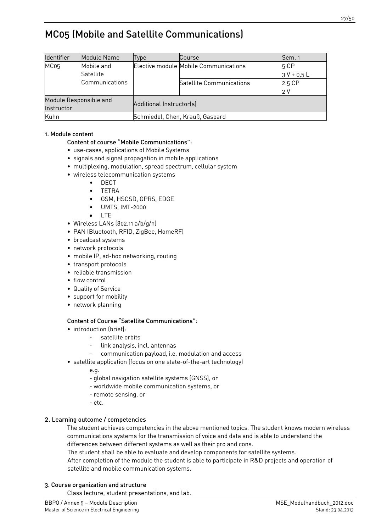# <span id="page-26-0"></span>MC05 (Mobile and Satellite Communications)

| <b>Identifier</b>      | Module Name    | Type                            | <b>Course</b>                         | Sem. 1      |
|------------------------|----------------|---------------------------------|---------------------------------------|-------------|
| MC <sub>05</sub>       | Mobile and     |                                 | Elective module Mobile Communications | 5 CP        |
|                        | Satellite      |                                 |                                       | $3V + 0.5L$ |
|                        | Communications |                                 | Satellite Communications              | 2.5 CP      |
|                        |                |                                 |                                       | ว V         |
| Module Responsible and |                |                                 |                                       |             |
| Instructor             |                | Additional Instructor(s)        |                                       |             |
| Kuhn                   |                | Schmiedel, Chen, Krauß, Gaspard |                                       |             |

# 1. Module content

# Content of course "Mobile Communications":

- use-cases, applications of Mobile Systems
- signals and signal propagation in mobile applications
- multiplexing, modulation, spread spectrum, cellular system
- wireless telecommunication systems
	- DECT
	- **TETRA**
	- GSM, HSCSD, GPRS, EDGE
	- UMTS, IMT-2000
	- LTE
- Wireless LANs (802.11 a/b/g/n)
- PAN (Bluetooth, RFID, ZigBee, HomeRF)
- broadcast systems
- network protocols
- mobile IP, ad-hoc networking, routing
- transport protocols
- reliable transmission
- flow control
- Quality of Service
- support for mobility
- network planning

# Content of Course "Satellite Communications":

- introduction (brief):
	- satellite orbits
	- link analysis, incl. antennas
	- communication payload, i.e. modulation and access
- satellite application (focus on one state-of-the-art technology)

e.g.

- global navigation satellite systems (GNSS), or
- worldwide mobile communication systems, or
- remote sensing, or
- etc.

# 2. Learning outcome / competencies

The student achieves competencies in the above mentioned topics. The student knows modern wireless communications systems for the transmission of voice and data and is able to understand the differences between different systems as well as their pro and cons.

The student shall be able to evaluate and develop components for satellite systems.

After completion of the module the student is able to participate in R&D projects and operation of satellite and mobile communication systems.

# 3. Course organization and structure

Class lecture, student presentations, and lab.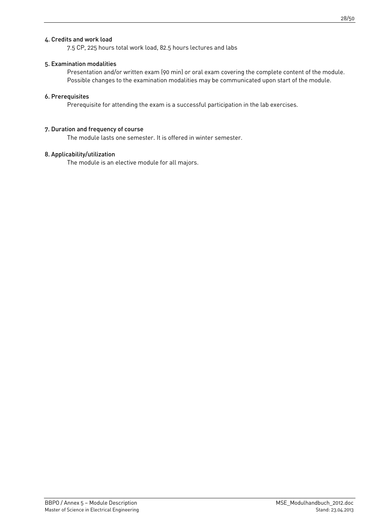# 4. Credits and work load

7.5 CP, 225 hours total work load, 82.5 hours lectures and labs

#### 5. Examination modalities

Presentation and/or written exam (90 min) or oral exam covering the complete content of the module. Possible changes to the examination modalities may be communicated upon start of the module.

#### 6. Prerequisites

Prerequisite for attending the exam is a successful participation in the lab exercises.

#### 7. Duration and frequency of course

The module lasts one semester. It is offered in winter semester.

#### 8. Applicability/utilization

The module is an elective module for all majors.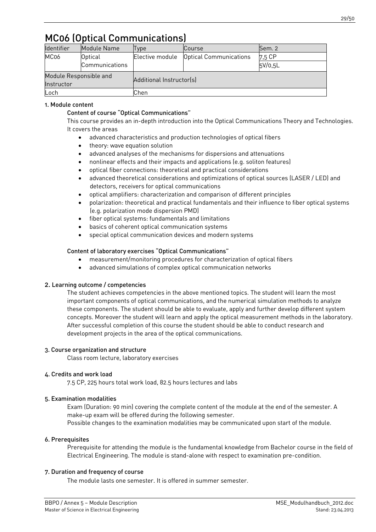# <span id="page-28-0"></span>MC06 (Optical Communications)

| Identifier             | Module Name    | vpe                      | <b>Course</b>                 | Sem. 2  |  |
|------------------------|----------------|--------------------------|-------------------------------|---------|--|
| MC06                   | <b>Optical</b> | Elective module          | <b>Optical Communications</b> | 7,5 CP  |  |
|                        | Communications |                          |                               | 5V/0,5L |  |
| Module Responsible and |                | Additional Instructor(s) |                               |         |  |
| Instructor             |                |                          |                               |         |  |
| Loch                   |                | Chen                     |                               |         |  |

# 1. Module content

# Content of course "Optical Communications"

This course provides an in-depth introduction into the Optical Communications Theory and Technologies. It covers the areas

- advanced characteristics and production technologies of optical fibers
- theory: wave equation solution
- advanced analyses of the mechanisms for dispersions and attenuations
- nonlinear effects and their impacts and applications (e.g. soliton features)
- optical fiber connections: theoretical and practical considerations
- advanced theoretical considerations and optimizations of optical sources (LASER / LED) and detectors, receivers for optical communications
- optical amplifiers: characterization and comparison of different principles
- polarization: theoretical and practical fundamentals and their influence to fiber optical systems (e.g. polarization mode dispersion PMD)
- fiber optical systems: fundamentals and limitations
- basics of coherent optical communication systems
- special optical communication devices and modern systems

# Content of laboratory exercises "Optical Communications"

- measurement/monitoring procedures for characterization of optical fibers
- advanced simulations of complex optical communication networks

# 2. Learning outcome / competencies

The student achieves competencies in the above mentioned topics. The student will learn the most important components of optical communications, and the numerical simulation methods to analyze these components. The student should be able to evaluate, apply and further develop different system concepts. Moreover the student will learn and apply the optical measurement methods in the laboratory. After successful completion of this course the student should be able to conduct research and development projects in the area of the optical communications.

# 3. Course organization and structure

Class room lecture, laboratory exercises

# 4. Credits and work load

7.5 CP, 225 hours total work load, 82.5 hours lectures and labs

# 5. Examination modalities

Exam (Duration: 90 min) covering the complete content of the module at the end of the semester. A make-up exam will be offered during the following semester. Possible changes to the examination modalities may be communicated upon start of the module.

# 6. Prerequisites

Prerequisite for attending the module is the fundamental knowledge from Bachelor course in the field of Electrical Engineering. The module is stand-alone with respect to examination pre-condition.

# 7. Duration and frequency of course

The module lasts one semester. It is offered in summer semester.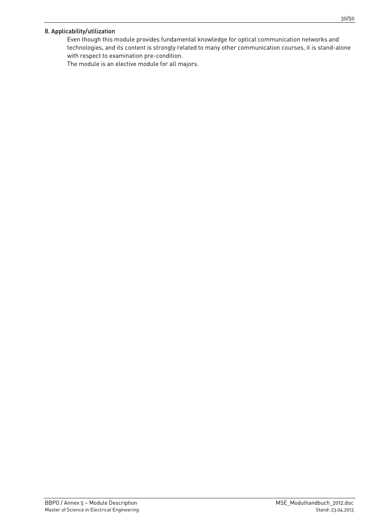# 8. Applicability/utilization

Even though this module provides fundamental knowledge for optical communication networks and technologies, and its content is strongly related to many other communication courses, it is stand-alone with respect to examination pre-condition.

The module is an elective module for all majors.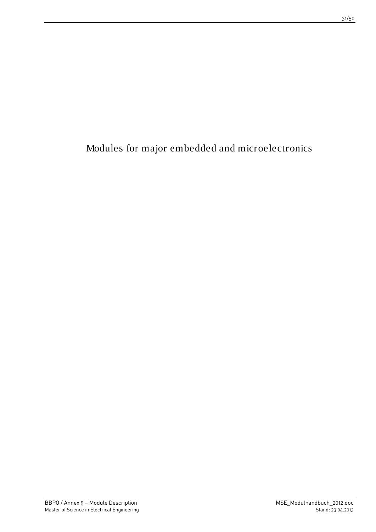<span id="page-30-0"></span>Modules for major embedded and microelectronics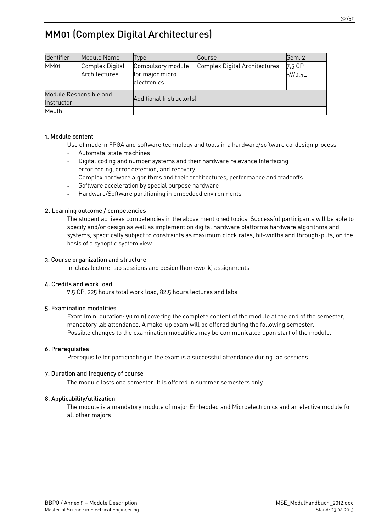# <span id="page-31-0"></span>MM01 (Complex Digital Architectures)

| Identifier             | Module Name     | Type                           | Course                        | Sem. 2  |  |
|------------------------|-----------------|--------------------------------|-------------------------------|---------|--|
| <b>MM01</b>            | Complex Digital | Compulsory module              | Complex Digital Architectures | 7,5 CP  |  |
|                        | Architectures   | for major micro<br>electronics |                               | 5V/0,5L |  |
| Module Responsible and |                 | Additional Instructor(s)       |                               |         |  |
| Instructor             |                 |                                |                               |         |  |
| Meuth                  |                 |                                |                               |         |  |

#### 1. Module content

Use of modern FPGA and software technology and tools in a hardware/software co-design process

- Automata, state machines
- Digital coding and number systems and their hardware relevance Interfacing
- error coding, error detection, and recovery
- Complex hardware algorithms and their architectures, performance and tradeoffs
- Software acceleration by special purpose hardware
- Hardware/Software partitioning in embedded environments

#### 2. Learning outcome / competencies

The student achieves competencies in the above mentioned topics. Successful participants will be able to specify and/or design as well as implement on digital hardware platforms hardware algorithms and systems, specifically subject to constraints as maximum clock rates, bit-widths and through-puts, on the basis of a synoptic system view.

#### 3. Course organization and structure

In-class lecture, lab sessions and design (homework) assignments

#### 4. Credits and work load

7.5 CP, 225 hours total work load, 82.5 hours lectures and labs

#### 5. Examination modalities

Exam (min. duration: 90 min) covering the complete content of the module at the end of the semester, mandatory lab attendance. A make-up exam will be offered during the following semester. Possible changes to the examination modalities may be communicated upon start of the module.

#### 6. Prerequisites

Prerequisite for participating in the exam is a successful attendance during lab sessions

#### 7. Duration and frequency of course

The module lasts one semester. It is offered in summer semesters only.

# 8. Applicability/utilization

The module is a mandatory module of major Embedded and Microelectronics and an elective module for all other majors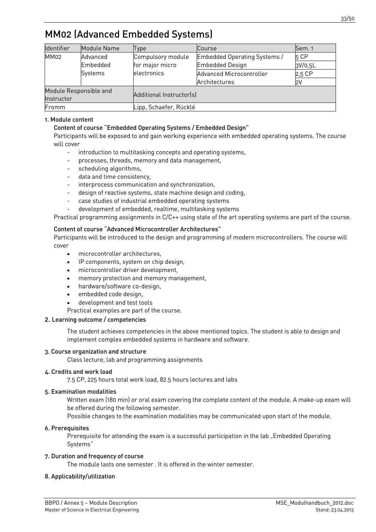# <span id="page-32-0"></span>MM02 (Advanced Embedded Systems)

| Identifier  | Module Name            | <b>Type</b>              | <b>Course</b>                | Sem. 1  |
|-------------|------------------------|--------------------------|------------------------------|---------|
| <b>MM02</b> | Advanced               | Compulsory module        | Embedded Operating Systems / | 5 CP    |
|             | Embedded               | for major micro          | <b>Embedded Design</b>       | 3V/0,5L |
|             | Systems                | electronics              | Advanced Microcontroller     | 2,5 CP  |
|             |                        |                          | Architectures                | 2V      |
|             | Module Responsible and |                          |                              |         |
| Instructor  |                        | Additional Instructor(s) |                              |         |
| Fromm       |                        | Lipp, Schaefer, Rücklé   |                              |         |

# 1. Module content

# Content of course "Embedded Operating Systems / Embedded Design"

Participants will be exposed to and gain working experience with embedded operating systems. The course will cover

- introduction to multitasking concepts and operating systems,
- processes, threads, memory and data management,
- scheduling algorithms,
- data and time consistency,
- interprocess communication and synchronization,
- design of reactive systems, state machine design and coding,
- case studies of industrial embedded operating systems
- development of embedded, realtime, multitasking systems

Practical programming assignments in C/C++ using state of the art operating systems are part of the course.

#### Content of course "Advanced Microcontroller Architectures"

Participants will be introduced to the design and programming of modern microcontrollers. The course will cover

- microcontroller architectures.
- IP components, system on chip design,
- microcontroller driver development,
- memory protection and memory management,
- hardware/software co-design,
- embedded code design,
- development and test tools
- Practical examples are part of the course.

### 2. Learning outcome / competencies

The student achieves competencies in the above mentioned topics. The student is able to design and implement complex embedded systems in hardware and software.

#### 3. Course organization and structure

Class lecture, lab and programming assignments

#### 4. Credits and work load

7.5 CP, 225 hours total work load, 82.5 hours lectures and labs

#### 5. Examination modalities

Written exam (180 min) or oral exam covering the complete content of the module. A make-up exam will be offered during the following semester.

Possible changes to the examination modalities may be communicated upon start of the module.

#### 6. Prerequisites

Prerequisite for attending the exam is a successful participation in the lab "Embedded Operating Systems"

#### 7. Duration and frequency of course

The module lasts one semester . It is offered in the winter semester.

# 8. Applicability/utilization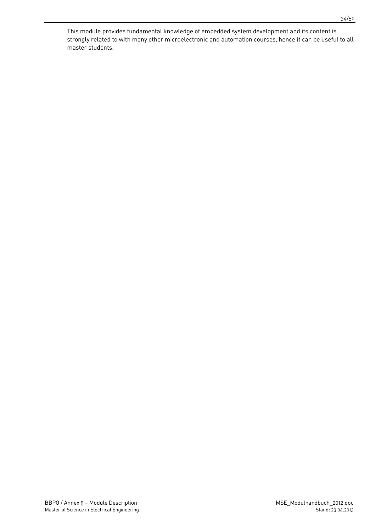This module provides fundamental knowledge of embedded system development and its content is strongly related to with many other microelectronic and automation courses, hence it can be useful to all master students.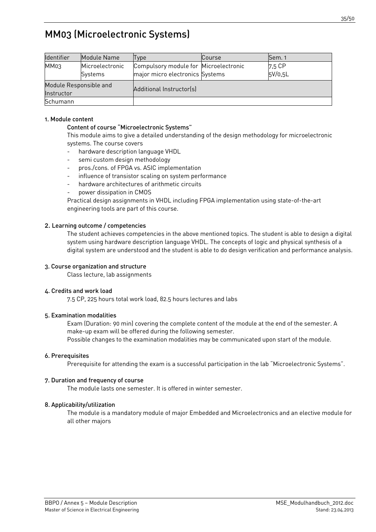# <span id="page-34-0"></span>MM03 (Microelectronic Systems)

| Identifier                           | Module Name                | Type                                                                     | Course | Sem. 1            |
|--------------------------------------|----------------------------|--------------------------------------------------------------------------|--------|-------------------|
| MM03                                 | Microelectronic<br>Systems | Compulsory module for Microelectronic<br>major micro electronics Systems |        | 7,5 CP<br>5V/0.5L |
| Module Responsible and<br>Instructor |                            | Additional Instructor(s)                                                 |        |                   |
| Schumann                             |                            |                                                                          |        |                   |

#### 1. Module content

### Content of course "Microelectronic Systems"

This module aims to give a detailed understanding of the design methodology for microelectronic systems. The course covers

- hardware description language VHDL
- semi custom design methodology
- pros./cons. of FPGA vs. ASIC implementation
- influence of transistor scaling on system performance
- hardware architectures of arithmetic circuits
- power dissipation in CMOS

Practical design assignments in VHDL including FPGA implementation using state-of-the-art engineering tools are part of this course.

#### 2. Learning outcome / competencies

The student achieves competencies in the above mentioned topics. The student is able to design a digital system using hardware description language VHDL. The concepts of logic and physical synthesis of a digital system are understood and the student is able to do design verification and performance analysis.

#### 3. Course organization and structure

Class lecture, lab assignments

#### 4. Credits and work load

7.5 CP, 225 hours total work load, 82.5 hours lectures and labs

#### 5. Examination modalities

Exam (Duration: 90 min) covering the complete content of the module at the end of the semester. A make-up exam will be offered during the following semester.

Possible changes to the examination modalities may be communicated upon start of the module.

# 6. Prerequisites

Prerequisite for attending the exam is a successful participation in the lab "Microelectronic Systems".

#### 7. Duration and frequency of course

The module lasts one semester. It is offered in winter semester.

# 8. Applicability/utilization

The module is a mandatory module of major Embedded and Microelectronics and an elective module for all other majors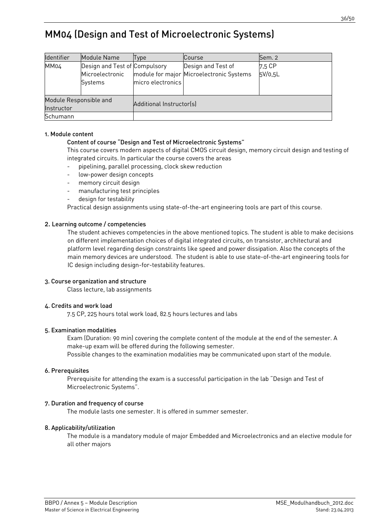# <span id="page-35-0"></span>MM04 (Design and Test of Microelectronic Systems)

| <b>Identifier</b>                    | Module Name                                                 | Type                     | Course                                                         | Sem. 2            |
|--------------------------------------|-------------------------------------------------------------|--------------------------|----------------------------------------------------------------|-------------------|
| MM04                                 | Design and Test of Compulsory<br>Microelectronic<br>Systems | micro electronics        | Design and Test of<br>module for major Microelectronic Systems | 7.5 CP<br>5V/0,5L |
| Module Responsible and<br>Instructor |                                                             | Additional Instructor(s) |                                                                |                   |
| Schumann                             |                                                             |                          |                                                                |                   |

#### 1. Module content

# Content of course "Design and Test of Microelectronic Systems"

This course covers modern aspects of digital CMOS circuit design, memory circuit design and testing of integrated circuits. In particular the course covers the areas

- pipelining, parallel processing, clock skew reduction
- low-power design concepts
- memory circuit design
- manufacturing test principles
- design for testability

Practical design assignments using state-of-the-art engineering tools are part of this course.

#### 2. Learning outcome / competencies

The student achieves competencies in the above mentioned topics. The student is able to make decisions on different implementation choices of digital integrated circuits, on transistor, architectural and platform level regarding design constraints like speed and power dissipation. Also the concepts of the main memory devices are understood. The student is able to use state-of-the-art engineering tools for IC design including design-for-testability features.

#### 3. Course organization and structure

Class lecture, lab assignments

#### 4. Credits and work load

7.5 CP, 225 hours total work load, 82.5 hours lectures and labs

#### 5. Examination modalities

Exam (Duration: 90 min) covering the complete content of the module at the end of the semester. A make-up exam will be offered during the following semester. Possible changes to the examination modalities may be communicated upon start of the module.

#### 6. Prerequisites

Prerequisite for attending the exam is a successful participation in the lab "Design and Test of Microelectronic Systems".

#### 7. Duration and frequency of course

The module lasts one semester. It is offered in summer semester.

#### 8. Applicability/utilization

The module is a mandatory module of major Embedded and Microelectronics and an elective module for all other majors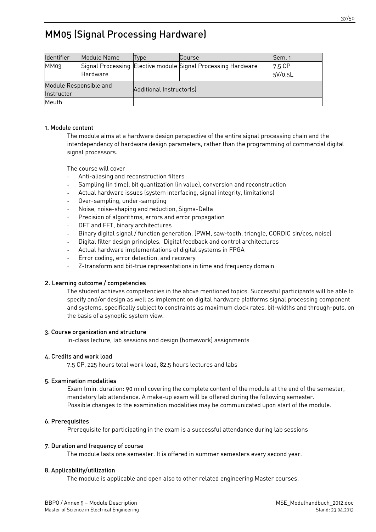<span id="page-36-0"></span>

| Identifier             | Module Name | Type                     | Course                                                       | Sem. 1  |  |  |
|------------------------|-------------|--------------------------|--------------------------------------------------------------|---------|--|--|
| MM03                   |             |                          | Signal Processing Elective module Signal Processing Hardware | 7,5 CP  |  |  |
|                        | Hardware    |                          |                                                              | 5V/0,5L |  |  |
| Module Responsible and |             |                          |                                                              |         |  |  |
| Instructor             |             | Additional Instructor(s) |                                                              |         |  |  |
| Meuth                  |             |                          |                                                              |         |  |  |

### 1. Module content

The module aims at a hardware design perspective of the entire signal processing chain and the interdependency of hardware design parameters, rather than the programming of commercial digital signal processors.

The course will cover

- Anti-aliasing and reconstruction filters
- Sampling (in time), bit quantization (in value), conversion and reconstruction
- Actual hardware issues (system interfacing, signal integrity, limitations)
- Over-sampling, under-sampling
- Noise, noise-shaping and reduction, Sigma-Delta
- Precision of algorithms, errors and error propagation
- DFT and FFT, binary architectures
- Binary digital signal / function generation. (PWM, saw-tooth, triangle, CORDIC sin/cos, noise)
- Digital filter design principles. Digital feedback and control architectures
- Actual hardware implementations of digital systems in FPGA
- Error coding, error detection, and recovery
- Z-transform and bit-true representations in time and frequency domain

#### 2. Learning outcome / competencies

The student achieves competencies in the above mentioned topics. Successful participants will be able to specify and/or design as well as implement on digital hardware platforms signal processing component and systems, specifically subject to constraints as maximum clock rates, bit-widths and through-puts, on the basis of a synoptic system view.

#### 3. Course organization and structure

In-class lecture, lab sessions and design (homework) assignments

#### 4. Credits and work load

7.5 CP, 225 hours total work load, 82.5 hours lectures and labs

#### 5. Examination modalities

Exam (min. duration: 90 min) covering the complete content of the module at the end of the semester, mandatory lab attendance. A make-up exam will be offered during the following semester. Possible changes to the examination modalities may be communicated upon start of the module.

#### 6. Prerequisites

Prerequisite for participating in the exam is a successful attendance during lab sessions

#### 7. Duration and frequency of course

The module lasts one semester. It is offered in summer semesters every second year.

#### 8. Applicability/utilization

The module is applicable and open also to other related engineering Master courses.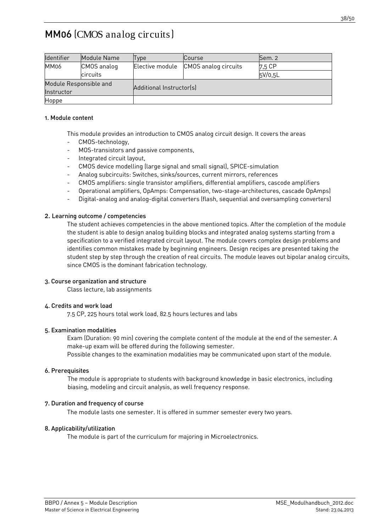<span id="page-37-0"></span>MM06 (CMOS analog circuits)

| Identifier             | Module Name | Type                     | <b>Course</b>        | Sem. 2  |  |
|------------------------|-------------|--------------------------|----------------------|---------|--|
| MM06                   | CMOS analog | Elective module          | CMOS analog circuits | 7.5 CP  |  |
|                        | circuits    |                          |                      | 5V/0,5L |  |
| Module Responsible and |             | Additional Instructor(s) |                      |         |  |
| Instructor             |             |                          |                      |         |  |
| Hoppe                  |             |                          |                      |         |  |

#### 1. Module content

This module provides an introduction to CMOS analog circuit design. It covers the areas

- CMOS-technology,
- MOS-transistors and passive components,
- Integrated circuit layout,
- CMOS device modelling (large signal and small signal), SPICE-simulation
- Analog subcircuits: Switches, sinks/sources, current mirrors, references
- CMOS amplifiers: single transistor amplifiers, differential amplifiers, cascode amplifiers
- Operational amplifiers, OpAmps: Compensation, two-stage-architectures, cascade OpAmps)
- Digital-analog and analog-digital converters (flash, sequential and oversampling converters)

#### 2. Learning outcome / competencies

The student achieves competencies in the above mentioned topics. After the completion of the module the student is able to design analog building blocks and integrated analog systems starting from a specification to a verified integrated circuit layout. The module covers complex design problems and identifies common mistakes made by beginning engineers. Design recipes are presented taking the student step by step through the creation of real circuits. The module leaves out bipolar analog circuits, since CMOS is the dominant fabrication technology.

#### 3. Course organization and structure

Class lecture, lab assignments

#### 4. Credits and work load

7.5 CP, 225 hours total work load, 82.5 hours lectures and labs

#### 5. Examination modalities

Exam (Duration: 90 min) covering the complete content of the module at the end of the semester. A make-up exam will be offered during the following semester. Possible changes to the examination modalities may be communicated upon start of the module.

#### 6. Prerequisites

The module is appropriate to students with background knowledge in basic electronics, including biasing, modeling and circuit analysis, as well frequency response.

#### 7. Duration and frequency of course

The module lasts one semester. It is offered in summer semester every two years.

# 8. Applicability/utilization

The module is part of the curriculum for majoring in Microelectronics.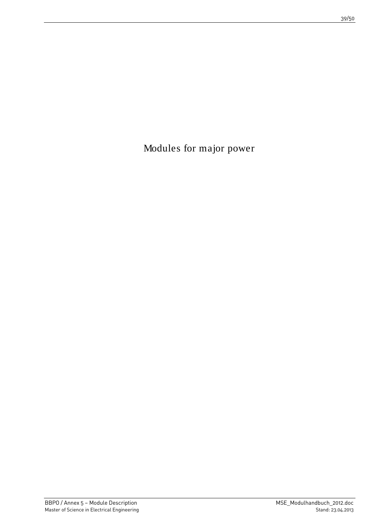<span id="page-38-0"></span>Modules for major power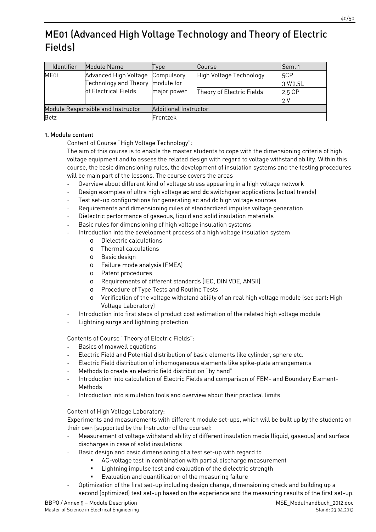# <span id="page-39-0"></span>ME01 (Advanced High Voltage Technology and Theory of Electric Fields)

| Identifier                        | Module Name                      | Type                  | Course                    | Sem. 1   |
|-----------------------------------|----------------------------------|-----------------------|---------------------------|----------|
| ME <sub>01</sub>                  | Advanced High Voltage Compulsory |                       | High Voltage Technology   | 5CP      |
|                                   | Technology and Theory module for |                       |                           | 3 V/0,5L |
|                                   | of Electrical Fields             | major power           | Theory of Electric Fields | 2,5 CP   |
|                                   |                                  |                       |                           | 2 V      |
| Module Responsible and Instructor |                                  | Additional Instructor |                           |          |
| <b>Betz</b>                       |                                  | Frontzek              |                           |          |

# 1. Module content

Content of Course "High Voltage Technology":

The aim of this course is to enable the master students to cope with the dimensioning criteria of high voltage equipment and to assess the related design with regard to voltage withstand ability. Within this course, the basic dimensioning rules, the development of insulation systems and the testing procedures will be main part of the lessons. The course covers the areas

- Overview about different kind of voltage stress appearing in a high voltage network
- Design examples of ultra high voltage ac and dc switchgear applications (actual trends)
- Test set-up configurations for generating ac and dc high voltage sources
- Requirements and dimensioning rules of standardized impulse voltage generation
- Dielectric performance of gaseous, liquid and solid insulation materials
- Basic rules for dimensioning of high voltage insulation systems
- Introduction into the development process of a high voltage insulation system
	- o Dielectric calculations
	- o Thermal calculations
	- o Basic design
	- o Failure mode analysis (FMEA)
	- o Patent procedures
	- o Requirements of different standards (IEC, DIN VDE, ANSII)
	- o Procedure of Type Tests and Routine Tests
	- o Verification of the voltage withstand ability of an real high voltage module (see part: High Voltage Laboratory)
- Introduction into first steps of product cost estimation of the related high voltage module
- Lightning surge and lightning protection

Contents of Course "Theory of Electric Fields":

- Basics of maxwell equations
- Electric Field and Potential distribution of basic elements like cylinder, sphere etc.
- Electric Field distribution of inhomogeneous elements like spike-plate arrangements
- Methods to create an electric field distribution "by hand"
- Introduction into calculation of Electric Fields and comparison of FEM- and Boundary Element-Methods
- Introduction into simulation tools and overview about their practical limits

# Content of High Voltage Laboratory:

Experiments and measurements with different module set-ups, which will be built up by the students on their own (supported by the Instructor of the course):

- Measurement of voltage withstand ability of different insulation media (liquid, gaseous) and surface discharges in case of solid insulations
- Basic design and basic dimensioning of a test set-up with regard to
	- AC-voltage test in combination with partial discharge measurement
	- **EXECT** Lightning impulse test and evaluation of the dielectric strength
	- Evaluation and quantification of the measuring failure
- Optimization of the first set-up including design change, dimensioning check and building up a second (optimized) test set-up based on the experience and the measuring results of the first set-up.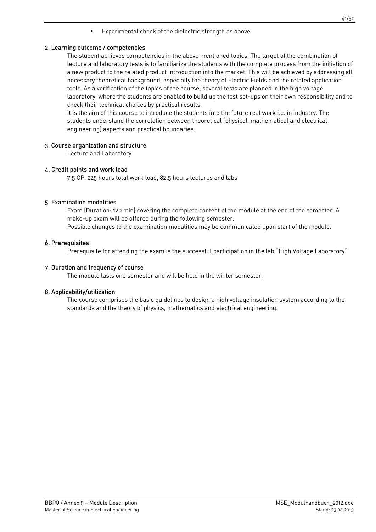Experimental check of the dielectric strength as above

#### 2. Learning outcome / competencies

The student achieves competencies in the above mentioned topics. The target of the combination of lecture and laboratory tests is to familiarize the students with the complete process from the initiation of a new product to the related product introduction into the market. This will be achieved by addressing all necessary theoretical background, especially the theory of Electric Fields and the related application tools. As a verification of the topics of the course, several tests are planned in the high voltage laboratory, where the students are enabled to build up the test set-ups on their own responsibility and to check their technical choices by practical results.

It is the aim of this course to introduce the students into the future real work i.e. in industry. The students understand the correlation between theoretical (physical, mathematical and electrical engineering) aspects and practical boundaries.

#### 3. Course organization and structure

Lecture and Laboratory

#### 4. Credit points and work load

7,5 CP, 225 hours total work load, 82.5 hours lectures and labs

#### 5. Examination modalities

Exam (Duration: 120 min) covering the complete content of the module at the end of the semester. A make-up exam will be offered during the following semester. Possible changes to the examination modalities may be communicated upon start of the module.

#### 6. Prerequisites

Prerequisite for attending the exam is the successful participation in the lab "High Voltage Laboratory"

#### 7. Duration and frequency of course

The module lasts one semester and will be held in the winter semester,

#### 8. Applicability/utilization

The course comprises the basic guidelines to design a high voltage insulation system according to the standards and the theory of physics, mathematics and electrical engineering.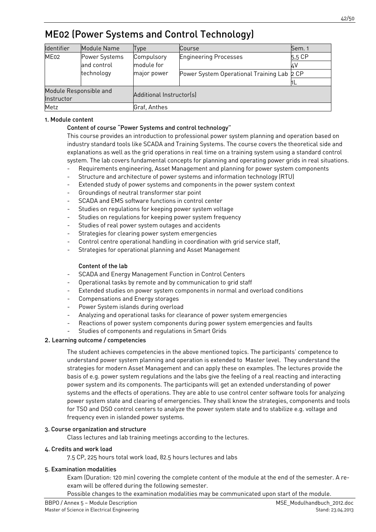# <span id="page-41-0"></span>ME02 (Power Systems and Control Technology)

| Identifier             | Module Name   | Type                     | Course                                     | Sem. 1 |  |
|------------------------|---------------|--------------------------|--------------------------------------------|--------|--|
| ME02                   | Power Systems | Compulsory               | <b>Engineering Processes</b>               | 5,5 CP |  |
|                        | and control   | module for               |                                            |        |  |
|                        | technology    | major power              | Power System Operational Training Lab 2 CP |        |  |
|                        |               |                          |                                            |        |  |
| Module Responsible and |               |                          |                                            |        |  |
| Instructor             |               | Additional Instructor(s) |                                            |        |  |
| Metz                   |               | Graf, Anthes             |                                            |        |  |

### 1. Module content

# Content of course "Power Systems and control technology"

This course provides an introduction to professional power system planning and operation based on industry standard tools like SCADA and Training Systems. The course covers the theoretical side and explanations as well as the grid operations in real time on a training system using a standard control system. The lab covers fundamental concepts for planning and operating power grids in real situations.

- Requirements engineering, Asset Management and planning for power system components
- Structure and architecture of power systems and information technology (RTU)
- Extended study of power systems and components in the power system context
- Groundings of neutral transformer star point
- SCADA and EMS software functions in control center
- Studies on regulations for keeping power system voltage
- Studies on regulations for keeping power system frequency
- Studies of real power system outages and accidents
- Strategies for clearing power system emergencies
- Control centre operational handling in coordination with grid service staff,
- Strategies for operational planning and Asset Management

#### Content of the lab

- SCADA and Energy Management Function in Control Centers
- Operational tasks by remote and by communication to grid staff
- Extended studies on power system components in normal and overload conditions
- Compensations and Energy storages
- Power System islands during overload
- Analyzing and operational tasks for clearance of power system emergencies
- Reactions of power system components during power system emergencies and faults
- Studies of components and regulations in Smart Grids

# 2. Learning outcome / competencies

The student achieves competencies in the above mentioned topics. The participants' competence to understand power system planning and operation is extended to Master level. They understand the strategies for modern Asset Management and can apply these on examples. The lectures provide the basis of e.g. power system regulations and the labs give the feeling of a real reacting and interacting power system and its components. The participants will get an extended understanding of power systems and the effects of operations. They are able to use control center software tools for analyzing power system state and clearing of emergencies. They shall know the strategies, components and tools for TSO and DSO control centers to analyze the power system state and to stabilize e.g. voltage and frequency even in islanded power systems.

#### 3. Course organization and structure

Class lectures and lab training meetings according to the lectures.

#### 4. Credits and work load

7.5 CP, 225 hours total work load, 82.5 hours lectures and labs

#### 5. Examination modalities

Exam (Duration: 120 min) covering the complete content of the module at the end of the semester. A reexam will be offered during the following semester.

Possible changes to the examination modalities may be communicated upon start of the module.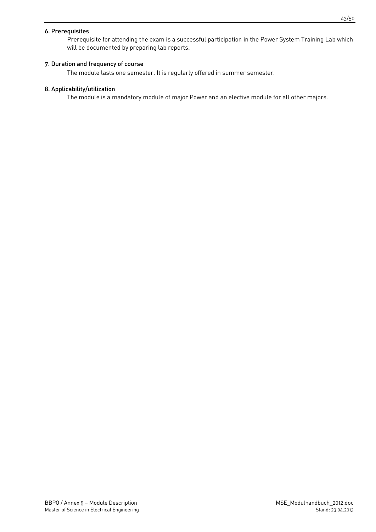#### 6. Prerequisites

Prerequisite for attending the exam is a successful participation in the Power System Training Lab which will be documented by preparing lab reports.

### 7. Duration and frequency of course

The module lasts one semester. It is regularly offered in summer semester.

#### 8. Applicability/utilization

The module is a mandatory module of major Power and an elective module for all other majors.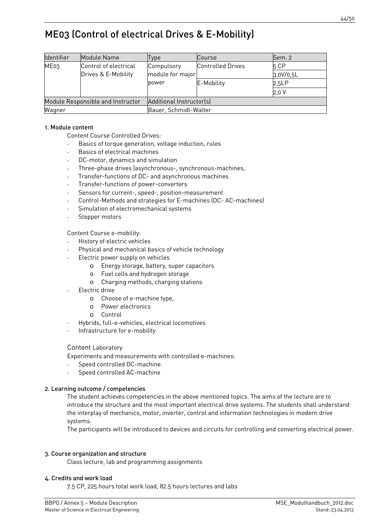# <span id="page-43-0"></span>ME03 (Control of electrical Drives & E-Mobility)

| Identifier                        | Module Name           | Type                     | Course                   | Sem. 2    |  |
|-----------------------------------|-----------------------|--------------------------|--------------------------|-----------|--|
| ME <sub>03</sub>                  | Control of electrical | Compulsory               | <b>Controlled Drives</b> | 5 CP      |  |
|                                   | Drives & E-Mobility   | module for major         |                          | 3,0V/0,5L |  |
|                                   |                       | power                    | E-Mobility               | 2,5LP     |  |
|                                   |                       |                          |                          | 2,0V      |  |
| Module Responsible and Instructor |                       | Additional Instructor(s) |                          |           |  |
| Wagner                            |                       | Bauer, Schmidt-Walter    |                          |           |  |

#### 1. Module content

Content Course Controlled Drives:

- Basics of torque generation, voltage induction, rules
- Basics of electrical machines
- DC-motor, dynamics and simulation
- Three-phase drives (asynchronous-, synchronous-machines,
- Transfer-functions of DC- and asynchronous machines
- Transfer-functions of power-converters
- Sensors for current-, speed-, position-measurement
- Control-Methods and strategies for E-machines (DC- AC-machines)
- Simulation of electromechanical systems
- Stepper motors

Content Course e-mobility:

- History of electric vehicles
- Physical and mechanical basics of vehicle technology
- Electric power supply on vehicles
	- o Energy storage, battery, super capacitors
	- o Fuel cells and hydrogen storage
	- o Charging methods, charging stations
- Electric drive
	- o Choose of e-machine type,
	- o Power electronics
	- o Control
- Hybrids, full-e-vehicles, electrical locomotives
- Infrastructure for e-mobility

#### Content Laboratory

Experiments and measurements with controlled e-machines:

- Speed controlled DC-machine
- Speed controlled AC-machine

#### 2. Learning outcome / competencies

The student achieves competencies in the above mentioned topics. The aims of the lecture are to introduce the structure and the most important electrical drive systems. The students shall understand the interplay of mechanics, motor, inverter, control and information technologies in modern drive systems.

The participants will be introduced to devices and circuits for controlling and converting electrical power.

#### 3. Course organization and structure

Class lecture, lab and programming assignments

#### 4. Credits and work load

7.5 CP, 225 hours total work load, 82.5 hours lectures and labs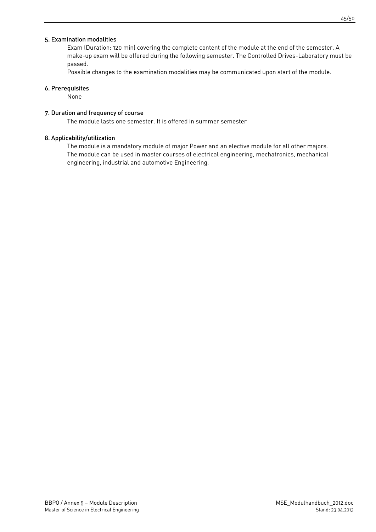### 5. Examination modalities

Exam (Duration: 120 min) covering the complete content of the module at the end of the semester. A make-up exam will be offered during the following semester. The Controlled Drives-Laboratory must be passed.

Possible changes to the examination modalities may be communicated upon start of the module.

#### 6. Prerequisites

None

#### 7. Duration and frequency of course

The module lasts one semester. It is offered in summer semester

#### 8. Applicability/utilization

The module is a mandatory module of major Power and an elective module for all other majors. The module can be used in master courses of electrical engineering, mechatronics, mechanical engineering, industrial and automotive Engineering.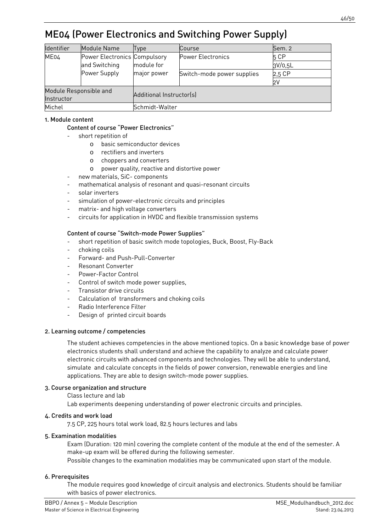# <span id="page-45-0"></span>ME04 (Power Electronics and Switching Power Supply)

| <b>Identifier</b>      | Module Name                  | Type                     | Course                     | Sem. 2  |  |  |
|------------------------|------------------------------|--------------------------|----------------------------|---------|--|--|
| ME04                   | Power Electronics Compulsory |                          | Power Electronics          | 5 CP    |  |  |
|                        | and Switching                | module for               |                            | 3V/0,5L |  |  |
|                        | Power Supply                 | major power              | Switch-mode power supplies | 2,5 CP  |  |  |
|                        |                              |                          |                            | 2V      |  |  |
| Module Responsible and |                              |                          |                            |         |  |  |
| Instructor             |                              | Additional Instructor(s) |                            |         |  |  |
| Michel                 |                              | Schmidt-Walter           |                            |         |  |  |

### 1. Module content

#### Content of course "Power Electronics"

- short repetition of
	- o basic semiconductor devices
	- o rectifiers and inverters
	- o choppers and converters
	- o power quality, reactive and distortive power
- new materials, SiC- components
- mathematical analysis of resonant and quasi-resonant circuits
- solar inverters
- simulation of power-electronic circuits and principles
- matrix- and high voltage converters
- circuits for application in HVDC and flexible transmission systems

#### Content of course "Switch-mode Power Supplies"

- short repetition of basic switch mode topologies, Buck, Boost, Fly-Back
- choking coils
- Forward- and Push-Pull-Converter
- Resonant Converter
- Power-Factor Control
- Control of switch mode power supplies,
- Transistor drive circuits
- Calculation of transformers and choking coils
- Radio Interference Filter
- Design of printed circuit boards

#### 2. Learning outcome / competencies

The student achieves competencies in the above mentioned topics. On a basic knowledge base of power electronics students shall understand and achieve the capability to analyze and calculate power electronic circuits with advanced components and technologies. They will be able to understand, simulate and calculate concepts in the fields of power conversion, renewable energies and line applications. They are able to design switch-mode power supplies.

#### 3. Course organization and structure

Class lecture and lab

Lab experiments deepening understanding of power electronic circuits and principles.

#### 4. Credits and work load

7.5 CP, 225 hours total work load, 82.5 hours lectures and labs

#### 5. Examination modalities

Exam (Duration: 120 min) covering the complete content of the module at the end of the semester. A make-up exam will be offered during the following semester.

Possible changes to the examination modalities may be communicated upon start of the module.

# 6. Prerequisites

The module requires good knowledge of circuit analysis and electronics. Students should be familiar with basics of power electronics.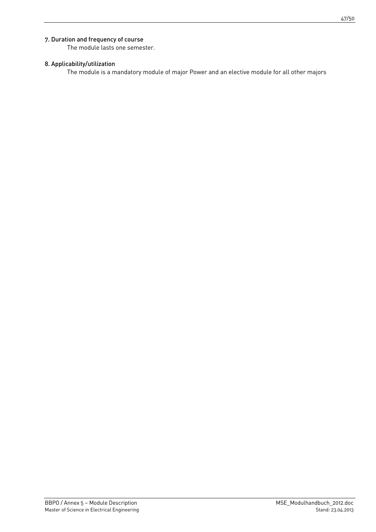# 7. Duration and frequency of course

The module lasts one semester.

### 8. Applicability/utilization

The module is a mandatory module of major Power and an elective module for all other majors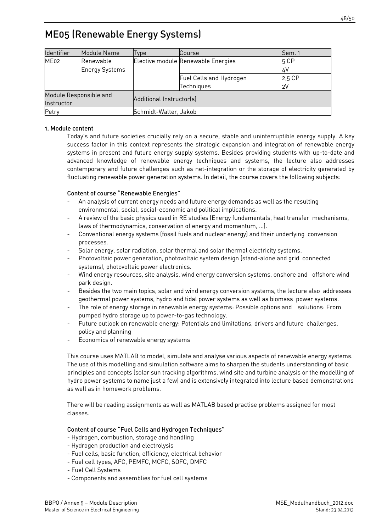# <span id="page-47-0"></span>ME05 (Renewable Energy Systems)

| <b>Identifier</b>                    | Module Name           | Type                     | Course                             | Sem. 1 |
|--------------------------------------|-----------------------|--------------------------|------------------------------------|--------|
| ME02                                 | Renewable             |                          | Elective module Renewable Energies | 5 CP   |
|                                      | <b>Energy Systems</b> |                          |                                    |        |
|                                      |                       |                          | Fuel Cells and Hydrogen            | 2,5 CP |
|                                      |                       |                          | Techniques                         | 2۷     |
| Module Responsible and<br>Instructor |                       | Additional Instructor(s) |                                    |        |
| Petry                                |                       | Schmidt-Walter, Jakob    |                                    |        |

# 1. Module content

Today's and future societies crucially rely on a secure, stable and uninterruptible energy supply. A key success factor in this context represents the strategic expansion and integration of renewable energy systems in present and future energy supply systems. Besides providing students with up-to-date and advanced knowledge of renewable energy techniques and systems, the lecture also addresses contemporary and future challenges such as net-integration or the storage of electricity generated by fluctuating renewable power generation systems. In detail, the course covers the following subjects:

# Content of course "Renewable Energies"

- An analysis of current energy needs and future energy demands as well as the resulting environmental, social, social-economic and political implications.
- A review of the basic physics used in RE studies (Energy fundamentals, heat transfer mechanisms, laws of thermodynamics, conservation of energy and momentum, …).
- Conventional energy systems (fossil fuels and nuclear energy) and their underlying conversion processes.
- Solar energy, solar radiation, solar thermal and solar thermal electricity systems.
- Photovoltaic power generation, photovoltaic system design (stand-alone and grid connected systems), photovoltaic power electronics.
- Wind energy resources, site analysis, wind energy conversion systems, onshore and offshore wind park design.
- Besides the two main topics, solar and wind energy conversion systems, the lecture also addresses geothermal power systems, hydro and tidal power systems as well as biomass power systems.
- The role of energy storage in renewable energy systems: Possible options and solutions: From pumped hydro storage up to power-to-gas technology.
- Future outlook on renewable energy: Potentials and limitations, drivers and future challenges, policy and planning
- Economics of renewable energy systems

This course uses MATLAB to model, simulate and analyse various aspects of renewable energy systems. The use of this modelling and simulation software aims to sharpen the students understanding of basic principles and concepts (solar sun tracking algorithms, wind site and turbine analysis or the modelling of hydro power systems to name just a few) and is extensively integrated into lecture based demonstrations as well as in homework problems.

There will be reading assignments as well as MATLAB based practise problems assigned for most classes.

# Content of course "Fuel Cells and Hydrogen Techniques"

- Hydrogen, combustion, storage and handling
- Hydrogen production and electrolysis
- Fuel cells, basic function, efficiency, electrical behavior
- Fuel cell types, AFC, PEMFC, MCFC, SOFC, DMFC
- Fuel Cell Systems
- Components and assemblies for fuel cell systems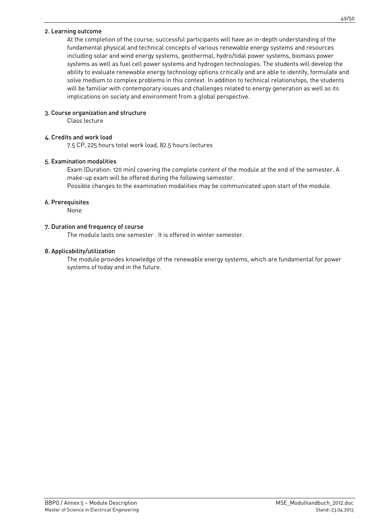#### 2. Learning outcome

At the completion of the course, successful participants will have an in-depth understanding of the fundamental physical and technical concepts of various renewable energy systems and resources including solar and wind energy systems, geothermal, hydro/tidal power systems, biomass power systems as well as fuel cell power systems and hydrogen technologies. The students will develop the ability to evaluate renewable energy technology options critically and are able to identify, formulate and solve medium to complex problems in this context. In addition to technical relationships, the students will be familiar with contemporary issues and challenges related to energy generation as well as its implications on society and environment from a global perspective.

#### 3. Course organization and structure

Class lecture

#### 4. Credits and work load

7.5 CP, 225 hours total work load, 82.5 hours lectures

#### 5. Examination modalities

Exam (Duration: 120 min) covering the complete content of the module at the end of the semester. A make-up exam will be offered during the following semester.

Possible changes to the examination modalities may be communicated upon start of the module.

#### 6. Prerequisites

None

#### 7. Duration and frequency of course

The module lasts one semester . It is offered in winter semester.

#### 8. Applicability/utilization

The module provides knowledge of the renewable energy systems, which are fundamental for power systems of today and in the future.